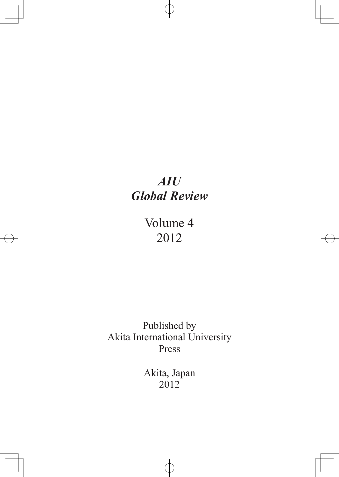# *AIU Global Review*

Volume 4 2012

Published by Akita International University Press

> Akita, Japan 2012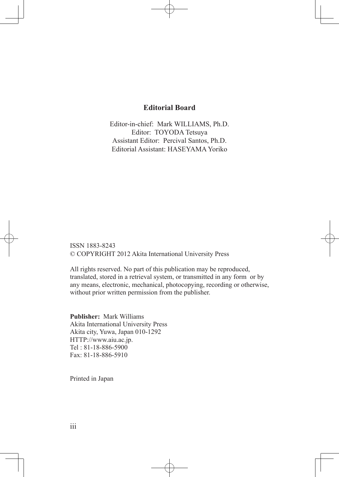### **Editorial Board**

Editor-in-chief: Mark WILLIAMS, Ph.D. Editor: TOYODA Tetsuya Assistant Editor: Percival Santos, Ph.D. Editorial Assistant: HASEYAMA Yoriko

ISSN 1883-8243 © COPYRIGHT 2012 Akita International University Press

All rights reserved. No part of this publication may be reproduced, translated, stored in a retrieval system, or transmitted in any form or by any means, electronic, mechanical, photocopying, recording or otherwise, without prior written permission from the publisher.

**Publisher:** Mark Williams Akita International University Press Akita city, Yuwa, Japan 010-1292 HTTP://www.aiu.ac.jp. Tel : 81-18-886-5900 Fax: 81-18-886-5910

Printed in Japan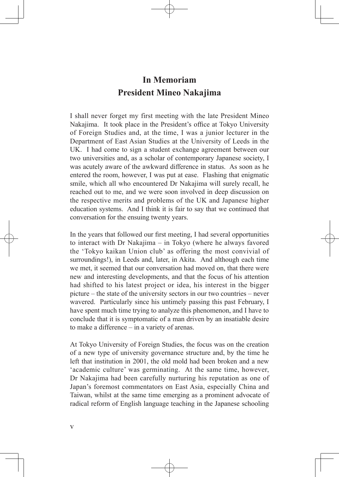# **In Memoriam President Mineo Nakajima**

I shall never forget my first meeting with the late President Mineo Nakajima. It took place in the President's office at Tokyo University of Foreign Studies and, at the time, I was a junior lecturer in the Department of East Asian Studies at the University of Leeds in the UK. I had come to sign a student exchange agreement between our two universities and, as a scholar of contemporary Japanese society, I was acutely aware of the awkward difference in status. As soon as he entered the room, however, I was put at ease. Flashing that enigmatic smile, which all who encountered Dr Nakajima will surely recall, he reached out to me, and we were soon involved in deep discussion on the respective merits and problems of the UK and Japanese higher education systems. And I think it is fair to say that we continued that conversation for the ensuing twenty years.

In the years that followed our first meeting, I had several opportunities to interact with Dr Nakajima – in Tokyo (where he always favored the 'Tokyo kaikan Union club' as offering the most convivial of surroundings!), in Leeds and, later, in Akita. And although each time we met, it seemed that our conversation had moved on, that there were new and interesting developments, and that the focus of his attention had shifted to his latest project or idea, his interest in the bigger picture – the state of the university sectors in our two countries – never wavered. Particularly since his untimely passing this past February, I have spent much time trying to analyze this phenomenon, and I have to conclude that it is symptomatic of a man driven by an insatiable desire to make a difference – in a variety of arenas.

At Tokyo University of Foreign Studies, the focus was on the creation of a new type of university governance structure and, by the time he left that institution in 2001, the old mold had been broken and a new 'academic culture' was germinating. At the same time, however, Dr Nakajima had been carefully nurturing his reputation as one of Japan's foremost commentators on East Asia, especially China and Taiwan, whilst at the same time emerging as a prominent advocate of radical reform of English language teaching in the Japanese schooling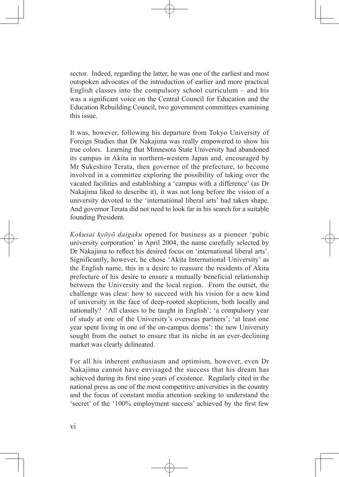sector. Indeed, regarding the latter, he was one of the earliest and most outspoken advocates of the introduction of earlier and more practical English classes into the compulsory school curriculum – and his was a significant voice on the Central Council for Education and the Education Rebuilding Council, two government committees examining this issue.

It was, however, following his departure from Tokyo University of Foreign Studies that Dr Nakajima was really empowered to show his true colors. Learning that Minnesota State University had abandoned its campus in Akita in northern-western Japan and, encouraged by Mr Sukeshiro Terata, then governor of the prefecture, to become involved in a committee exploring the possibility of taking over the vacated facilities and establishing a 'campus with a difference' (as Dr Nakajima liked to describe it), it was not long before the vision of a university devoted to the 'international liberal arts' had taken shape. And governor Terata did not need to look far in his search for a suitable founding President.

*Kokusai kyōyō daigaku* opened for business as a pioneer 'pubic university corporation' in April 2004, the name carefully selected by Dr Nakajima to reflect his desired focus on 'international liberal arts'. Significantly, however, he chose 'Akita International University' as the English name, this in a desire to reassure the residents of Akita prefecture of his desire to ensure a mutually beneficial relationship between the University and the local region. From the outset, the challenge was clear: how to succeed with his vision for a new kind of university in the face of deep-rooted skepticism, both locally and nationally? 'All classes to be taught in English'; 'a compulsory year of study at one of the University's overseas partners'; 'at least one year spent living in one of the on-campus dorms': the new University sought from the outset to ensure that its niche in an ever-declining market was clearly delineated.

For all his inherent enthusiasm and optimism, however, even Dr Nakajima cannot have envisaged the success that his dream has achieved during its first nine years of existence. Regularly cited in the national press as one of the most competitive universities in the country and the focus of constant media attention seeking to understand the 'secret' of the '100% employment success' achieved by the first few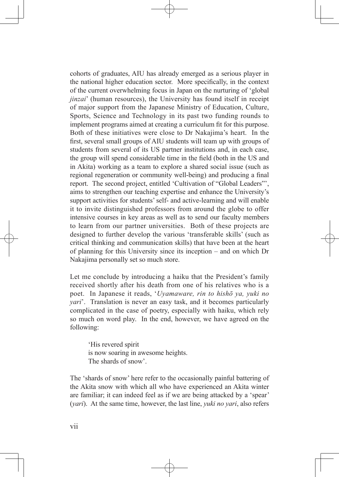cohorts of graduates, AIU has already emerged as a serious player in the national higher education sector. More specifically, in the context of the current overwhelming focus in Japan on the nurturing of 'global *jinzai*' (human resources), the University has found itself in receipt of major support from the Japanese Ministry of Education, Culture, Sports, Science and Technology in its past two funding rounds to implement programs aimed at creating a curriculum fit for this purpose. Both of these initiatives were close to Dr Nakajima's heart. In the first, several small groups of AIU students will team up with groups of students from several of its US partner institutions and, in each case, the group will spend considerable time in the field (both in the US and in Akita) working as a team to explore a shared social issue (such as regional regeneration or community well-being) and producing a final report. The second project, entitled 'Cultivation of "Global Leaders"', aims to strengthen our teaching expertise and enhance the University's support activities for students' self- and active-learning and will enable it to invite distinguished professors from around the globe to offer intensive courses in key areas as well as to send our faculty members to learn from our partner universities. Both of these projects are designed to further develop the various 'transferable skills' (such as critical thinking and communication skills) that have been at the heart of planning for this University since its inception – and on which Dr Nakajima personally set so much store.

Let me conclude by introducing a haiku that the President's family received shortly after his death from one of his relatives who is a poet. In Japanese it reads, '*Uyamaware, rin to hishō ya, yuki no yari*'. Translation is never an easy task, and it becomes particularly complicated in the case of poetry, especially with haiku, which rely so much on word play. In the end, however, we have agreed on the following:

'His revered spirit is now soaring in awesome heights. The shards of snow'.

The 'shards of snow' here refer to the occasionally painful battering of the Akita snow with which all who have experienced an Akita winter are familiar; it can indeed feel as if we are being attacked by a 'spear' (*yari*). At the same time, however, the last line, *yuki no yari*, also refers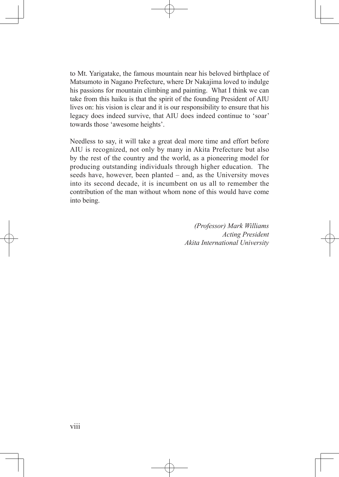to Mt. Yarigatake, the famous mountain near his beloved birthplace of Matsumoto in Nagano Prefecture, where Dr Nakajima loved to indulge his passions for mountain climbing and painting. What I think we can take from this haiku is that the spirit of the founding President of AIU lives on: his vision is clear and it is our responsibility to ensure that his legacy does indeed survive, that AIU does indeed continue to 'soar' towards those 'awesome heights'.

Needless to say, it will take a great deal more time and effort before AIU is recognized, not only by many in Akita Prefecture but also by the rest of the country and the world, as a pioneering model for producing outstanding individuals through higher education. The seeds have, however, been planted – and, as the University moves into its second decade, it is incumbent on us all to remember the contribution of the man without whom none of this would have come into being.

> *(Professor) Mark Williams Acting President Akita International University*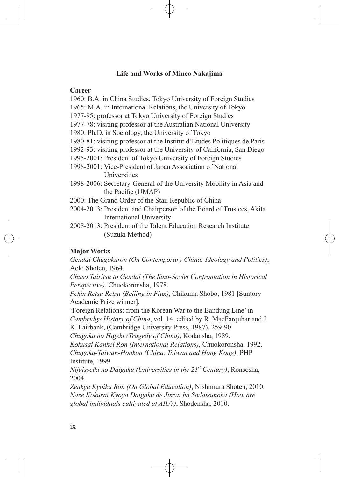### **Life and Works of Mineo Nakajima**

#### **Career**

- 1960: B.A. in China Studies, Tokyo University of Foreign Studies
- 1965: M.A. in International Relations, the University of Tokyo
- 1977-95: professor at Tokyo University of Foreign Studies
- 1977-78: visiting professor at the Australian National University
- 1980: Ph.D. in Sociology, the University of Tokyo
- 1980-81: visiting professor at the Institut d'Etudes Politiques de Paris
- 1992-93: visiting professor at the University of California, San Diego
- 1995-2001: President of Tokyo University of Foreign Studies
- 1998-2001: Vice-President of Japan Association of National **Universities**
- 1998-2006: Secretary-General of the University Mobility in Asia and the Pacific (UMAP)
- 2000: The Grand Order of the Star, Republic of China
- 2004-2013: President and Chairperson of the Board of Trustees, Akita International University
- 2008-2013: President of the Talent Education Research Institute (Suzuki Method)

### **Major Works**

*Gendai Chugokuron (On Contemporary China: Ideology and Politics)*, Aoki Shoten, 1964.

*Chuso Tairitsu to Gendai (The Sino-Soviet Confrontation in Historical Perspective)*, Chuokoronsha, 1978.

*Pekin Retsu Retsu (Beijing in Flux)*, Chikuma Shobo, 1981 [Suntory Academic Prize winner].

'Foreign Relations: from the Korean War to the Bandung Line' in *Cambridge History of China*, vol. 14, edited by R. MacFarquhar and J. K. Fairbank, (Cambridge University Press, 1987), 259-90.

*Chugoku no Higeki (Tragedy of China)*, Kodansha, 1989.

*Kokusai Kankei Ron (International Relations)*, Chuokoronsha, 1992. *Chugoku-Taiwan-Honkon (China, Taiwan and Hong Kong)*, PHP Institute, 1999.

*Nijuisseiki no Daigaku (Universities in the 21st Century)*, Ronsosha, 2004.

*Zenkyu Kyoiku Ron (On Global Education)*, Nishimura Shoten, 2010. *Naze Kokusai Kyoyo Daigaku de Jinzai ha Sodatsunoka (How are global individuals cultivated at AIU?)*, Shodensha, 2010.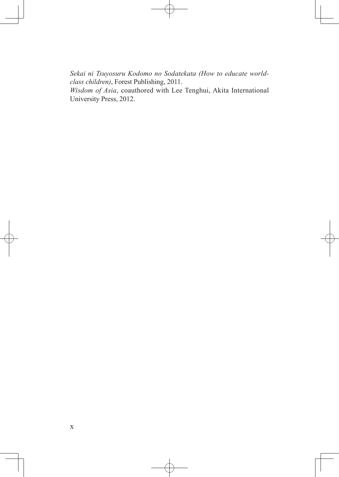*Sekai ni Tsuyosuru Kodomo no Sodatekata (How to educate worldclass children)*, Forest Publishing, 2011.

*Wisdom of Asia*, coauthored with Lee Tenghui, Akita International University Press, 2012.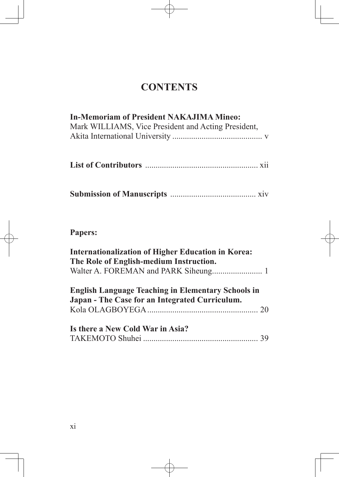# **CONTENTS**

# **In-Memoriam of President NAKAJIMA Mineo:**

| Mark WILLIAMS, Vice President and Acting President, |  |
|-----------------------------------------------------|--|
|                                                     |  |

|--|--|--|

# **Papers:**

| <b>Internationalization of Higher Education in Korea:</b>                                                   |  |  |  |  |  |
|-------------------------------------------------------------------------------------------------------------|--|--|--|--|--|
| The Role of English-medium Instruction.                                                                     |  |  |  |  |  |
|                                                                                                             |  |  |  |  |  |
| <b>English Language Teaching in Elementary Schools in</b><br>Japan - The Case for an Integrated Curriculum. |  |  |  |  |  |
|                                                                                                             |  |  |  |  |  |
|                                                                                                             |  |  |  |  |  |
| Is there a New Cold War in Asia?                                                                            |  |  |  |  |  |
|                                                                                                             |  |  |  |  |  |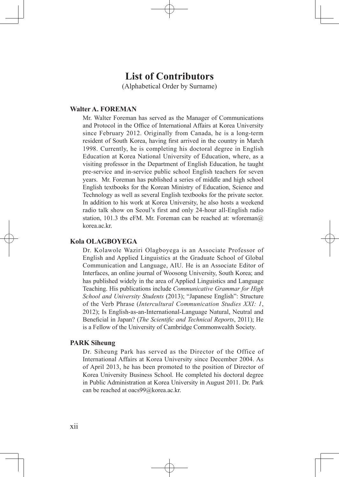## **List of Contributors**

(Alphabetical Order by Surname)

#### **Walter A. FOREMAN**

Mr. Walter Foreman has served as the Manager of Communications and Protocol in the Office of International Affairs at Korea University since February 2012. Originally from Canada, he is a long-term resident of South Korea, having first arrived in the country in March 1998. Currently, he is completing his doctoral degree in English Education at Korea National University of Education, where, as a visiting professor in the Department of English Education, he taught pre-service and in-service public school English teachers for seven years. Mr. Foreman has published a series of middle and high school English textbooks for the Korean Ministry of Education, Science and Technology as well as several English textbooks for the private sector. In addition to his work at Korea University, he also hosts a weekend radio talk show on Seoul's first and only 24-hour all-English radio station, 101.3 tbs eFM. Mr. Foreman can be reached at: wforeman $@$ . korea.ac.kr.

#### **Kola OLAGBOYEGA**

Dr. Kolawole Waziri Olagboyega is an Associate Professor of English and Applied Linguistics at the Graduate School of Global Communication and Language, AIU. He is an Associate Editor of Interfaces, an online journal of Woosong University, South Korea; and has published widely in the area of Applied Linguistics and Language Teaching. His publications include *Communicative Grammar for High School and University Students* (2013); "Japanese English": Structure of the Verb Phrase (*Intercultural Communication Studies XXI: 1*, 2012); Is English-as-an-International-Language Natural, Neutral and Beneficial in Japan? (*The Scientific and Technical Reports*, 2011); He is a Fellow of the University of Cambridge Commonwealth Society.

#### **PARK Siheung**

Dr. Siheung Park has served as the Director of the Office of International Affairs at Korea University since December 2004. As of April 2013, he has been promoted to the position of Director of Korea University Business School. He completed his doctoral degree in Public Administration at Korea University in August 2011. Dr. Park can be reached at oacs99@korea.ac.kr.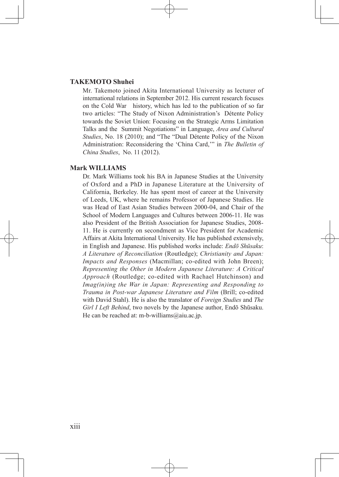#### **TAKEMOTO Shuhei**

Mr. Takemoto joined Akita International University as lecturer of international relations in September 2012. His current research focuses on the Cold War history, which has led to the publication of so far two articles: "The Study of Nixon Administration's Détente Policy towards the Soviet Union: Focusing on the Strategic Arms Limitation Talks and the Summit Negotiations" in Language, *Area and Cultural Studies*, No. 18 (2010); and "The "Dual Détente Policy of the Nixon Administration: Reconsidering the 'China Card,'" in *The Bulletin of China Studies*, No. 11 (2012).

#### **Mark WILLIAMS**

Dr. Mark Williams took his BA in Japanese Studies at the University of Oxford and a PhD in Japanese Literature at the University of California, Berkeley. He has spent most of career at the University of Leeds, UK, where he remains Professor of Japanese Studies. He was Head of East Asian Studies between 2000-04, and Chair of the School of Modern Languages and Cultures between 2006-11. He was also President of the British Association for Japanese Studies, 2008- 11. He is currently on secondment as Vice President for Academic Affairs at Akita International University. He has published extensively, in English and Japanese. His published works include: *Endō Shūsaku*: *A Literature of Reconciliation* (Routledge); *Christianity and Japan: Impacts and Responses* (Macmillan; co-edited with John Breen); *Representing the Other in Modern Japanese Literature: A Critical Approach* (Routledge; co-edited with Rachael Hutchinson) and *Imag(in)ing the War in Japan: Representing and Responding to Trauma in Post-war Japanese Literature and Film* (Brill; co-edited with David Stahl). He is also the translator of *Foreign Studies* and *The Girl I Left Behind*, two novels by the Japanese author, Endō Shūsaku. He can be reached at:  $m-b$ -williams@aiu.ac.jp.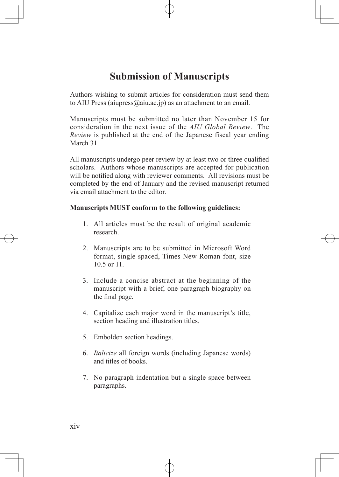# **Submission of Manuscripts**

Authors wishing to submit articles for consideration must send them to AIU Press (aiupress $(a)$ aiu.ac.jp) as an attachment to an email.

Manuscripts must be submitted no later than November 15 for consideration in the next issue of the *AIU Global Review*. The *Review* is published at the end of the Japanese fiscal year ending March 31

All manuscripts undergo peer review by at least two or three qualified scholars. Authors whose manuscripts are accepted for publication will be notified along with reviewer comments. All revisions must be completed by the end of January and the revised manuscript returned via email attachment to the editor.

### **Manuscripts MUST conform to the following guidelines:**

- 1. All articles must be the result of original academic research.
- 2. Manuscripts are to be submitted in Microsoft Word format, single spaced, Times New Roman font, size 10.5 or 11.
- 3. Include a concise abstract at the beginning of the manuscript with a brief, one paragraph biography on the final page.
- 4. Capitalize each major word in the manuscript's title, section heading and illustration titles.
- 5. Embolden section headings.
- 6. *Italicize* all foreign words (including Japanese words) and titles of books.
- 7. No paragraph indentation but a single space between paragraphs.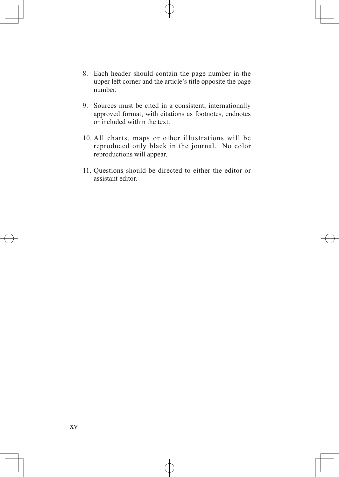- 8. Each header should contain the page number in the upper left corner and the article's title opposite the page number.
- 9. Sources must be cited in a consistent, internationally approved format, with citations as footnotes, endnotes or included within the text.
- 10. All charts, maps or other illustrations will be reproduced only black in the journal. No color reproductions will appear.
- 11. Questions should be directed to either the editor or assistant editor.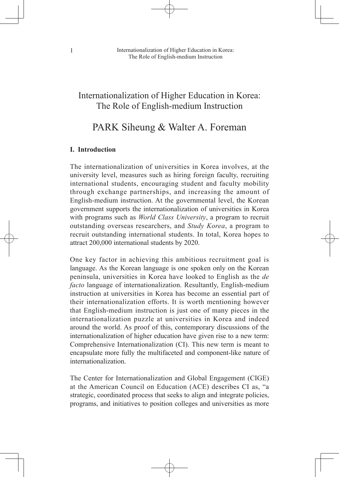## Internationalization of Higher Education in Korea: The Role of English-medium Instruction

## PARK Siheung & Walter A. Foreman

#### **I. Introduction**

The internationalization of universities in Korea involves, at the university level, measures such as hiring foreign faculty, recruiting international students, encouraging student and faculty mobility through exchange partnerships, and increasing the amount of English-medium instruction. At the governmental level, the Korean government supports the internationalization of universities in Korea with programs such as *World Class University*, a program to recruit outstanding overseas researchers, and *Study Korea*, a program to recruit outstanding international students. In total, Korea hopes to attract 200,000 international students by 2020.

One key factor in achieving this ambitious recruitment goal is language. As the Korean language is one spoken only on the Korean peninsula, universities in Korea have looked to English as the *de facto* language of internationalization. Resultantly, English-medium instruction at universities in Korea has become an essential part of their internationalization efforts. It is worth mentioning however that English-medium instruction is just one of many pieces in the internationalization puzzle at universities in Korea and indeed around the world. As proof of this, contemporary discussions of the internationalization of higher education have given rise to a new term: Comprehensive Internationalization (CI). This new term is meant to encapsulate more fully the multifaceted and component-like nature of internationalization.

The Center for Internationalization and Global Engagement (CIGE) at the American Council on Education (ACE) describes CI as, "a strategic, coordinated process that seeks to align and integrate policies, programs, and initiatives to position colleges and universities as more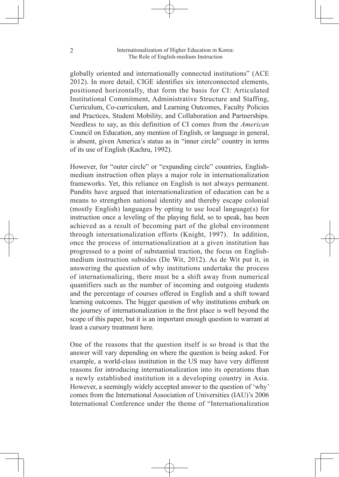globally oriented and internationally connected institutions" (ACE 2012). In more detail, CIGE identifies six interconnected elements, positioned horizontally, that form the basis for CI: Articulated Institutional Commitment, Administrative Structure and Staffing, Curriculum, Co-curriculum, and Learning Outcomes, Faculty Policies and Practices, Student Mobility, and Collaboration and Partnerships. Needless to say, as this definition of CI comes from the *American* Council on Education, any mention of English, or language in general, is absent, given America's status as in "inner circle" country in terms of its use of English (Kachru, 1992).

However, for "outer circle" or "expanding circle" countries, Englishmedium instruction often plays a major role in internationalization frameworks. Yet, this reliance on English is not always permanent. Pundits have argued that internationalization of education can be a means to strengthen national identity and thereby escape colonial (mostly English) languages by opting to use local language(s) for instruction once a leveling of the playing field, so to speak, has been achieved as a result of becoming part of the global environment through internationalization efforts (Knight, 1997). In addition, once the process of internationalization at a given institution has progressed to a point of substantial traction, the focus on Englishmedium instruction subsides (De Wit, 2012). As de Wit put it, in answering the question of why institutions undertake the process of internationalizing, there must be a shift away from numerical quantifiers such as the number of incoming and outgoing students and the percentage of courses offered in English and a shift toward learning outcomes. The bigger question of why institutions embark on the journey of internationalization in the first place is well beyond the scope of this paper, but it is an important enough question to warrant at least a cursory treatment here.

One of the reasons that the question itself is so broad is that the answer will vary depending on where the question is being asked. For example, a world-class institution in the US may have very different reasons for introducing internationalization into its operations than a newly established institution in a developing country in Asia. However, a seemingly widely accepted answer to the question of 'why' comes from the International Association of Universities (IAU)'s 2006 International Conference under the theme of "Internationalization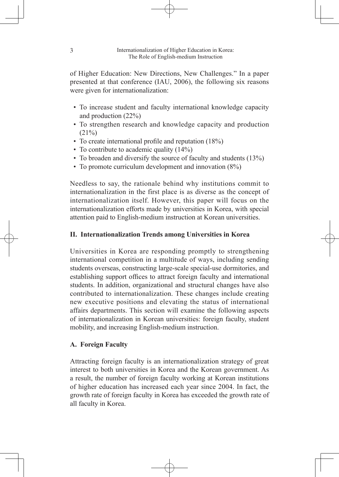of Higher Education: New Directions, New Challenges." In a paper presented at that conference (IAU, 2006), the following six reasons were given for internationalization:

- To increase student and faculty international knowledge capacity and production (22%)
- To strengthen research and knowledge capacity and production  $(21\%)$
- To create international profile and reputation (18%)
- To contribute to academic quality (14%)
- To broaden and diversify the source of faculty and students (13%)
- To promote curriculum development and innovation (8%)

Needless to say, the rationale behind why institutions commit to internationalization in the first place is as diverse as the concept of internationalization itself. However, this paper will focus on the internationalization efforts made by universities in Korea, with special attention paid to English-medium instruction at Korean universities.

### **II. Internationalization Trends among Universities in Korea**

Universities in Korea are responding promptly to strengthening international competition in a multitude of ways, including sending students overseas, constructing large-scale special-use dormitories, and establishing support offices to attract foreign faculty and international students. In addition, organizational and structural changes have also contributed to internationalization. These changes include creating new executive positions and elevating the status of international affairs departments. This section will examine the following aspects of internationalization in Korean universities: foreign faculty, student mobility, and increasing English-medium instruction.

### **A. Foreign Faculty**

Attracting foreign faculty is an internationalization strategy of great interest to both universities in Korea and the Korean government. As a result, the number of foreign faculty working at Korean institutions of higher education has increased each year since 2004. In fact, the growth rate of foreign faculty in Korea has exceeded the growth rate of all faculty in Korea.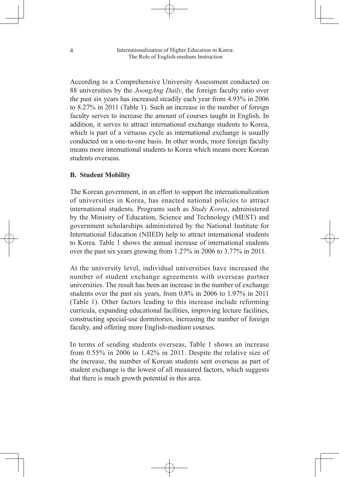According to a Comprehensive University Assessment conducted on 88 universities by the *JoongAng Daily*, the foreign faculty ratio over the past six years has increased steadily each year from 4.93% in 2006 to 8.27% in 2011 (Table 1). Such an increase in the number of foreign faculty serves to increase the amount of courses taught in English. In addition, it serves to attract international exchange students to Korea, which is part of a virtuous cycle as international exchange is usually conducted on a one-to-one basis. In other words, more foreign faculty means more international students to Korea which means more Korean students overseas.

#### **B. Student Mobility**

The Korean government, in an effort to support the internationalization of universities in Korea, has enacted national policies to attract international students. Programs such as *Study Korea*, administered by the Ministry of Education, Science and Technology (MEST) and government scholarships administered by the National Institute for International Education (NIIED) help to attract international students to Korea. Table 1 shows the annual increase of international students over the past six years growing from 1.27% in 2006 to 3.77% in 2011.

At the university level, individual universities have increased the number of student exchange agreements with overseas partner universities. The result has been an increase in the number of exchange students over the past six years, from 0.8% in 2006 to 1.97% in 2011 (Table 1). Other factors leading to this increase include reforming curricula, expanding educational facilities, improving lecture facilities, constructing special-use dormitories, increasing the number of foreign faculty, and offering more English-medium courses.

In terms of sending students overseas, Table 1 shows an increase from 0.55% in 2006 to 1.42% in 2011. Despite the relative size of the increase, the number of Korean students sent overseas as part of student exchange is the lowest of all measured factors, which suggests that there is much growth potential in this area.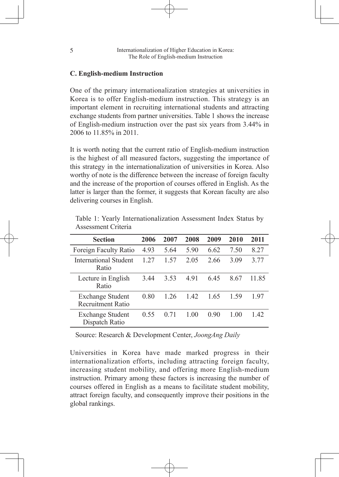#### **C. English-medium Instruction**

One of the primary internationalization strategies at universities in Korea is to offer English-medium instruction. This strategy is an important element in recruiting international students and attracting exchange students from partner universities. Table 1 shows the increase of English-medium instruction over the past six years from 3.44% in 2006 to 11.85% in 2011.

It is worth noting that the current ratio of English-medium instruction is the highest of all measured factors, suggesting the importance of this strategy in the internationalization of universities in Korea. Also worthy of note is the difference between the increase of foreign faculty and the increase of the proportion of courses offered in English. As the latter is larger than the former, it suggests that Korean faculty are also delivering courses in English.

| <b>Section</b>                                      | 2006 | 2007 | 2008 | 2009 | 2010 | 2011  |
|-----------------------------------------------------|------|------|------|------|------|-------|
| Foreign Faculty Ratio                               | 4.93 | 5.64 | 5.90 | 6.62 | 7.50 | 8.27  |
| <b>International Student</b><br>Ratio               | 1 27 | 1.57 | 2.05 | 2.66 | 3.09 | 3.77  |
| Lecture in English<br>Ratio                         | 3.44 | 3.53 | 4.91 | 645  | 8 67 | 11 85 |
| <b>Exchange Student</b><br><b>Recruitment Ratio</b> | 0.80 | 1 26 | 1.42 | 1.65 | 1.59 | 197   |
| <b>Exchange Student</b><br>Dispatch Ratio           | 0.55 | 0.71 | 1.00 | 0.90 | 1 00 | 142   |

Table 1: Yearly Internationalization Assessment Index Status by Assessment Criteria

Source: Research & Development Center, *JoongAng Daily*

Universities in Korea have made marked progress in their internationalization efforts, including attracting foreign faculty, increasing student mobility, and offering more English-medium instruction. Primary among these factors is increasing the number of courses offered in English as a means to facilitate student mobility, attract foreign faculty, and consequently improve their positions in the global rankings.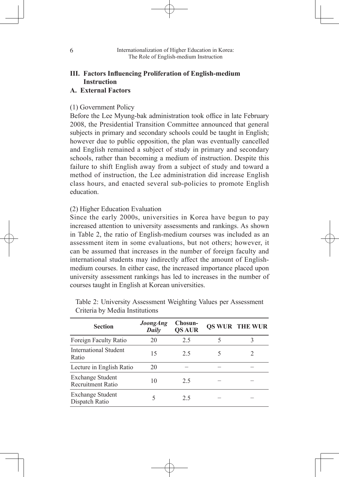### **III. Factors Influencing Proliferation of English-medium Instruction**

#### **A. External Factors**

#### (1) Government Policy

Before the Lee Myung-bak administration took office in late February 2008, the Presidential Transition Committee announced that general subjects in primary and secondary schools could be taught in English; however due to public opposition, the plan was eventually cancelled and English remained a subject of study in primary and secondary schools, rather than becoming a medium of instruction. Despite this failure to shift English away from a subject of study and toward a method of instruction, the Lee administration did increase English class hours, and enacted several sub-policies to promote English education.

#### (2) Higher Education Evaluation

Since the early 2000s, universities in Korea have begun to pay increased attention to university assessments and rankings. As shown in Table 2, the ratio of English-medium courses was included as an assessment item in some evaluations, but not others; however, it can be assumed that increases in the number of foreign faculty and international students may indirectly affect the amount of Englishmedium courses. In either case, the increased importance placed upon university assessment rankings has led to increases in the number of courses taught in English at Korean universities.

| <b>Section</b>                               | <b>JoongAng</b><br>Daily | Chosun-<br><b>QS AUR</b> |   | <b>QS WUR THE WUR</b> |
|----------------------------------------------|--------------------------|--------------------------|---|-----------------------|
| Foreign Faculty Ratio                        | 20                       | 2.5                      |   |                       |
| <b>International Student</b><br>Ratio        | 15                       | 2.5                      | 5 |                       |
| Lecture in English Ratio                     | 20                       |                          |   |                       |
| Exchange Student<br><b>Recruitment Ratio</b> | 10                       | 2.5                      |   |                       |
| <b>Exchange Student</b><br>Dispatch Ratio    |                          | 2.5                      |   |                       |

Table 2: University Assessment Weighting Values per Assessment Criteria by Media Institutions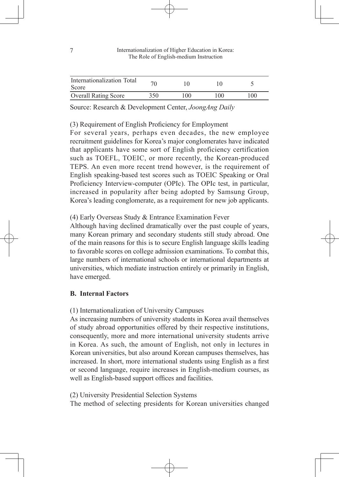| Internationalization Total<br>Score |     |     |     |              |
|-------------------------------------|-----|-----|-----|--------------|
| <b>Overall Rating Score</b>         | 350 | 100 | LOO | $00^{\circ}$ |

Source: Research & Development Center, *JoongAng Daily*

(3) Requirement of English Proficiency for Employment

For several years, perhaps even decades, the new employee recruitment guidelines for Korea's major conglomerates have indicated that applicants have some sort of English proficiency certification such as TOEFL, TOEIC, or more recently, the Korean-produced TEPS. An even more recent trend however, is the requirement of English speaking-based test scores such as TOEIC Speaking or Oral Proficiency Interview-computer (OPIc). The OPIc test, in particular, increased in popularity after being adopted by Samsung Group, Korea's leading conglomerate, as a requirement for new job applicants.

(4) Early Overseas Study & Entrance Examination Fever

Although having declined dramatically over the past couple of years, many Korean primary and secondary students still study abroad. One of the main reasons for this is to secure English language skills leading to favorable scores on college admission examinations. To combat this, large numbers of international schools or international departments at universities, which mediate instruction entirely or primarily in English, have emerged.

### **B. Internal Factors**

(1) Internationalization of University Campuses

As increasing numbers of university students in Korea avail themselves of study abroad opportunities offered by their respective institutions, consequently, more and more international university students arrive in Korea. As such, the amount of English, not only in lectures in Korean universities, but also around Korean campuses themselves, has increased. In short, more international students using English as a first or second language, require increases in English-medium courses, as well as English-based support offices and facilities.

(2) University Presidential Selection Systems

The method of selecting presidents for Korean universities changed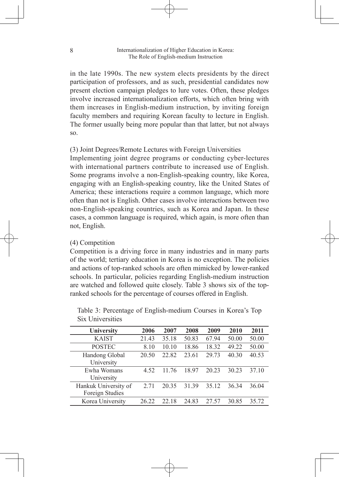in the late 1990s. The new system elects presidents by the direct participation of professors, and as such, presidential candidates now present election campaign pledges to lure votes. Often, these pledges involve increased internationalization efforts, which often bring with them increases in English-medium instruction, by inviting foreign faculty members and requiring Korean faculty to lecture in English. The former usually being more popular than that latter, but not always so.

#### (3) Joint Degrees/Remote Lectures with Foreign Universities

Implementing joint degree programs or conducting cyber-lectures with international partners contribute to increased use of English. Some programs involve a non-English-speaking country, like Korea, engaging with an English-speaking country, like the United States of America; these interactions require a common language, which more often than not is English. Other cases involve interactions between two non-English-speaking countries, such as Korea and Japan. In these cases, a common language is required, which again, is more often than not, English.

#### (4) Competition

Competition is a driving force in many industries and in many parts of the world; tertiary education in Korea is no exception. The policies and actions of top-ranked schools are often mimicked by lower-ranked schools. In particular, policies regarding English-medium instruction are watched and followed quite closely. Table 3 shows six of the topranked schools for the percentage of courses offered in English.

| University                              | 2006  | 2007  | 2008  | 2009  | 2010  | 2011  |
|-----------------------------------------|-------|-------|-------|-------|-------|-------|
| <b>KAIST</b>                            | 21.43 | 35.18 | 50.83 | 67.94 | 50.00 | 50.00 |
| <b>POSTEC</b>                           | 8.10  | 10.10 | 18.86 | 18.32 | 49.22 | 50.00 |
| Handong Global<br>University            | 20.50 | 22.82 | 23.61 | 29.73 | 40.30 | 40.53 |
| Ewha Womans<br>University               | 4.52  | 11 76 | 18.97 | 20.23 | 30.23 | 37 10 |
| Hankuk University of<br>Foreign Studies | 2.71  | 20 35 | 31 39 | 35.12 | 36.34 | 36.04 |
| Korea University                        | 26 22 | 22.18 | 24.83 | 27.57 | 30.85 | 35.72 |

Table 3: Percentage of English-medium Courses in Korea's Top Six Universities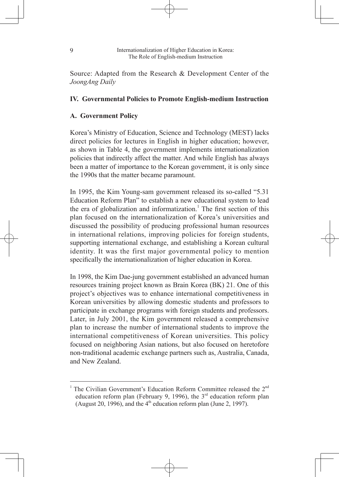Source: Adapted from the Research & Development Center of the *JoongAng Daily*

### **IV. Governmental Policies to Promote English-medium Instruction**

### **A. Government Policy**

Korea's Ministry of Education, Science and Technology (MEST) lacks direct policies for lectures in English in higher education; however, as shown in Table 4, the government implements internationalization policies that indirectly affect the matter. And while English has always been a matter of importance to the Korean government, it is only since the 1990s that the matter became paramount.

In 1995, the Kim Young-sam government released its so-called "5.31 Education Reform Plan" to establish a new educational system to lead the era of globalization and informatization.<sup>1</sup> The first section of this plan focused on the internationalization of Korea's universities and discussed the possibility of producing professional human resources in international relations, improving policies for foreign students, supporting international exchange, and establishing a Korean cultural identity. It was the first major governmental policy to mention specifically the internationalization of higher education in Korea.

In 1998, the Kim Dae-jung government established an advanced human resources training project known as Brain Korea (BK) 21. One of this project's objectives was to enhance international competitiveness in Korean universities by allowing domestic students and professors to participate in exchange programs with foreign students and professors. Later, in July 2001, the Kim government released a comprehensive plan to increase the number of international students to improve the international competitiveness of Korean universities. This policy focused on neighboring Asian nations, but also focused on heretofore non-traditional academic exchange partners such as, Australia, Canada, and New Zealand.

The Civilian Government's Education Reform Committee released the 2<sup>nd</sup> education reform plan (February 9, 1996), the  $3<sup>rd</sup>$  education reform plan (August 20, 1996), and the  $4<sup>th</sup>$  education reform plan (June 2, 1997).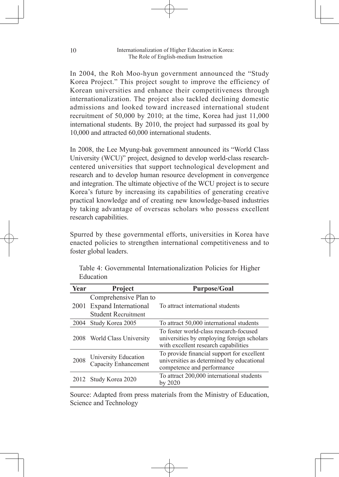In 2004, the Roh Moo-hyun government announced the "Study Korea Project." This project sought to improve the efficiency of Korean universities and enhance their competitiveness through internationalization. The project also tackled declining domestic admissions and looked toward increased international student recruitment of 50,000 by 2010; at the time, Korea had just 11,000 international students. By 2010, the project had surpassed its goal by 10,000 and attracted 60,000 international students.

In 2008, the Lee Myung-bak government announced its "World Class University (WCU)" project, designed to develop world-class researchcentered universities that support technological development and research and to develop human resource development in convergence and integration. The ultimate objective of the WCU project is to secure Korea's future by increasing its capabilities of generating creative practical knowledge and of creating new knowledge-based industries by taking advantage of overseas scholars who possess excellent research capabilities.

Spurred by these governmental efforts, universities in Korea have enacted policies to strengthen international competitiveness and to foster global leaders.

| Year | <b>Project</b>                               | <b>Purpose/Goal</b>                                                                                                          |
|------|----------------------------------------------|------------------------------------------------------------------------------------------------------------------------------|
|      | Comprehensive Plan to                        |                                                                                                                              |
| 2001 | Expand International                         | To attract international students                                                                                            |
|      | <b>Student Recruitment</b>                   |                                                                                                                              |
| 2004 | Study Korea 2005                             | To attract 50,000 international students                                                                                     |
| 2008 | World Class University                       | To foster world-class research-focused<br>universities by employing foreign scholars<br>with excellent research capabilities |
| 2008 | University Education<br>Capacity Enhancement | To provide financial support for excellent<br>universities as determined by educational<br>competence and performance        |
|      | Study Korea 2020                             | To attract 200,000 international students<br>by 2020                                                                         |

Table 4: Governmental Internationalization Policies for Higher Education

Source: Adapted from press materials from the Ministry of Education, Science and Technology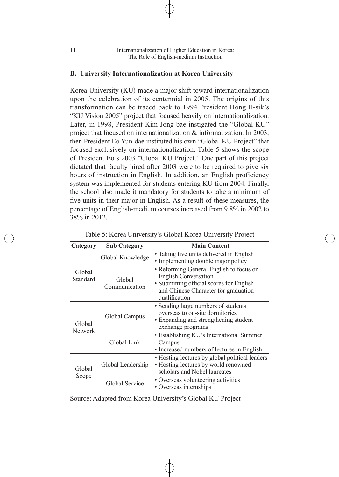#### **B. University Internationalization at Korea University**

Korea University (KU) made a major shift toward internationalization upon the celebration of its centennial in 2005. The origins of this transformation can be traced back to 1994 President Hong Il-sik's "KU Vision 2005" project that focused heavily on internationalization. Later, in 1998, President Kim Jong-bae instigated the "Global KU" project that focused on internationalization & informatization. In 2003, then President Eo Yun-dae instituted his own "Global KU Project" that focused exclusively on internationalization. Table 5 shows the scope of President Eo's 2003 "Global KU Project." One part of this project dictated that faculty hired after 2003 were to be required to give six hours of instruction in English. In addition, an English proficiency system was implemented for students entering KU from 2004. Finally, the school also made it mandatory for students to take a minimum of five units in their major in English. As a result of these measures, the percentage of English-medium courses increased from 9.8% in 2002 to 38% in 2012.

| Category           | <b>Sub Category</b>     | <b>Main Content</b>                                                                                                                                                         |
|--------------------|-------------------------|-----------------------------------------------------------------------------------------------------------------------------------------------------------------------------|
|                    | Global Knowledge        | • Taking five units delivered in English<br>• Implementing double major policy                                                                                              |
| Global<br>Standard | Global<br>Communication | • Reforming General English to focus on<br><b>English Conversation</b><br>· Submitting official scores for English<br>and Chinese Character for graduation<br>qualification |
| Global             | Global Campus           | • Sending large numbers of students<br>overseas to on-site dormitories<br>• Expanding and strengthening student<br>exchange programs                                        |
| <b>Network</b>     | Global Link             | • Establishing KU's International Summer<br>Campus<br>• Increased numbers of lectures in English                                                                            |
| Global             | Global Leadership       | • Hosting lectures by global political leaders<br>• Hosting lectures by world renowned<br>scholars and Nobel laureates                                                      |
| Scope              | Global Service          | • Overseas volunteering activities<br>• Overseas internships                                                                                                                |

Source: Adapted from Korea University's Global KU Project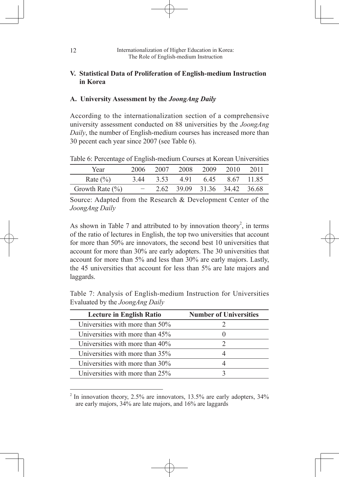#### **V. Statistical Data of Proliferation of English-medium Instruction in Korea**

#### **A. University Assessment by the** *JoongAng Daily*

According to the internationalization section of a comprehensive university assessment conducted on 88 universities by the *JoongAng Daily*, the number of English-medium courses has increased more than 30 pecent each year since 2007 (see Table 6).

Table 6: Percentage of English-medium Courses at Korean Universities

| Year                | 2006 | 2007 |     | 2008 2009                    | 2010 | 2011       |
|---------------------|------|------|-----|------------------------------|------|------------|
| Rate $(\% )$        | 3.44 | 3.53 | 491 | 645                          |      | 8.67 11.85 |
| Growth Rate $(\% )$ |      |      |     | 2.62 39.09 31.36 34.42 36.68 |      |            |

Source: Adapted from the Research & Development Center of the *JoongAng Daily*

As shown in Table 7 and attributed to by innovation theory<sup>2</sup>, in terms of the ratio of lectures in English, the top two universities that account for more than 50% are innovators, the second best 10 universities that account for more than 30% are early adopters. The 30 universities that account for more than 5% and less than 30% are early majors. Lastly, the 45 universities that account for less than 5% are late majors and laggards.

Table 7: Analysis of English-medium Instruction for Universities Evaluated by the *JoongAng Daily*

| <b>Lecture in English Ratio</b> | <b>Number of Universities</b> |
|---------------------------------|-------------------------------|
| Universities with more than 50% |                               |
| Universities with more than 45% |                               |
| Universities with more than 40% | $\mathcal{D}_{\mathcal{L}}$   |
| Universities with more than 35% |                               |
| Universities with more than 30% |                               |
| Universities with more than 25% |                               |
|                                 |                               |

 $2$  In innovation theory, 2.5% are innovators, 13.5% are early adopters, 34% are early majors, 34% are late majors, and 16% are laggards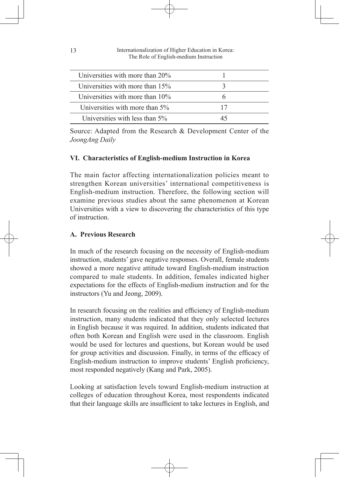| Universities with more than $20\%$ |  |
|------------------------------------|--|
| Universities with more than 15%    |  |
| Universities with more than $10\%$ |  |
| Universities with more than 5%     |  |
| Universities with less than 5%     |  |

Source: Adapted from the Research & Development Center of the *JoongAng Daily*

### **VI. Characteristics of English-medium Instruction in Korea**

The main factor affecting internationalization policies meant to strengthen Korean universities' international competitiveness is English-medium instruction. Therefore, the following section will examine previous studies about the same phenomenon at Korean Universities with a view to discovering the characteristics of this type of instruction.

#### **A. Previous Research**

In much of the research focusing on the necessity of English-medium instruction, students' gave negative responses. Overall, female students showed a more negative attitude toward English-medium instruction compared to male students. In addition, females indicated higher expectations for the effects of English-medium instruction and for the instructors (Yu and Jeong, 2009).

In research focusing on the realities and efficiency of English-medium instruction, many students indicated that they only selected lectures in English because it was required. In addition, students indicated that often both Korean and English were used in the classroom. English would be used for lectures and questions, but Korean would be used for group activities and discussion. Finally, in terms of the efficacy of English-medium instruction to improve students' English proficiency, most responded negatively (Kang and Park, 2005).

Looking at satisfaction levels toward English-medium instruction at colleges of education throughout Korea, most respondents indicated that their language skills are insufficient to take lectures in English, and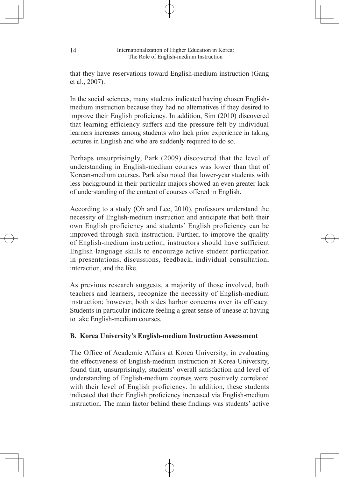that they have reservations toward English-medium instruction (Gang et al., 2007).

In the social sciences, many students indicated having chosen Englishmedium instruction because they had no alternatives if they desired to improve their English proficiency. In addition, Sim (2010) discovered that learning efficiency suffers and the pressure felt by individual learners increases among students who lack prior experience in taking lectures in English and who are suddenly required to do so.

Perhaps unsurprisingly, Park (2009) discovered that the level of understanding in English-medium courses was lower than that of Korean-medium courses. Park also noted that lower-year students with less background in their particular majors showed an even greater lack of understanding of the content of courses offered in English.

According to a study (Oh and Lee, 2010), professors understand the necessity of English-medium instruction and anticipate that both their own English proficiency and students' English proficiency can be improved through such instruction. Further, to improve the quality of English-medium instruction, instructors should have sufficient English language skills to encourage active student participation in presentations, discussions, feedback, individual consultation, interaction, and the like.

As previous research suggests, a majority of those involved, both teachers and learners, recognize the necessity of English-medium instruction; however, both sides harbor concerns over its efficacy. Students in particular indicate feeling a great sense of unease at having to take English-medium courses.

### **B. Korea University's English-medium Instruction Assessment**

The Office of Academic Affairs at Korea University, in evaluating the effectiveness of English-medium instruction at Korea University, found that, unsurprisingly, students' overall satisfaction and level of understanding of English-medium courses were positively correlated with their level of English proficiency. In addition, these students indicated that their English proficiency increased via English-medium instruction. The main factor behind these findings was students' active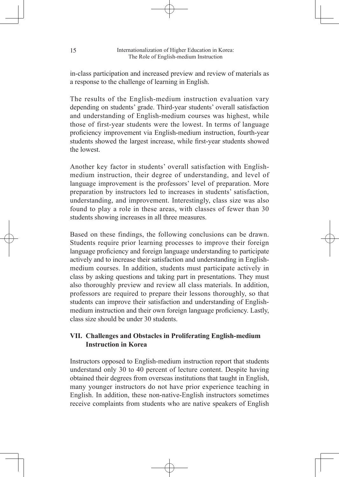in-class participation and increased preview and review of materials as a response to the challenge of learning in English.

The results of the English-medium instruction evaluation vary depending on students' grade. Third-year students' overall satisfaction and understanding of English-medium courses was highest, while those of first-year students were the lowest. In terms of language proficiency improvement via English-medium instruction, fourth-year students showed the largest increase, while first-year students showed the lowest.

Another key factor in students' overall satisfaction with Englishmedium instruction, their degree of understanding, and level of language improvement is the professors' level of preparation. More preparation by instructors led to increases in students' satisfaction, understanding, and improvement. Interestingly, class size was also found to play a role in these areas, with classes of fewer than 30 students showing increases in all three measures.

Based on these findings, the following conclusions can be drawn. Students require prior learning processes to improve their foreign language proficiency and foreign language understanding to participate actively and to increase their satisfaction and understanding in Englishmedium courses. In addition, students must participate actively in class by asking questions and taking part in presentations. They must also thoroughly preview and review all class materials. In addition, professors are required to prepare their lessons thoroughly, so that students can improve their satisfaction and understanding of Englishmedium instruction and their own foreign language proficiency. Lastly, class size should be under 30 students.

### **VII. Challenges and Obstacles in Proliferating English-medium Instruction in Korea**

Instructors opposed to English-medium instruction report that students understand only 30 to 40 percent of lecture content. Despite having obtained their degrees from overseas institutions that taught in English, many younger instructors do not have prior experience teaching in English. In addition, these non-native-English instructors sometimes receive complaints from students who are native speakers of English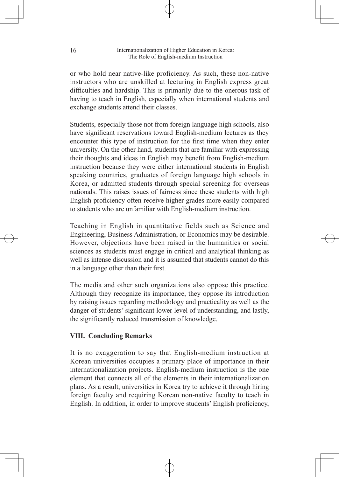or who hold near native-like proficiency. As such, these non-native instructors who are unskilled at lecturing in English express great difficulties and hardship. This is primarily due to the onerous task of having to teach in English, especially when international students and exchange students attend their classes.

Students, especially those not from foreign language high schools, also have significant reservations toward English-medium lectures as they encounter this type of instruction for the first time when they enter university. On the other hand, students that are familiar with expressing their thoughts and ideas in English may benefit from English-medium instruction because they were either international students in English speaking countries, graduates of foreign language high schools in Korea, or admitted students through special screening for overseas nationals. This raises issues of fairness since these students with high English proficiency often receive higher grades more easily compared to students who are unfamiliar with English-medium instruction.

Teaching in English in quantitative fields such as Science and Engineering, Business Administration, or Economics may be desirable. However, objections have been raised in the humanities or social sciences as students must engage in critical and analytical thinking as well as intense discussion and it is assumed that students cannot do this in a language other than their first.

The media and other such organizations also oppose this practice. Although they recognize its importance, they oppose its introduction by raising issues regarding methodology and practicality as well as the danger of students' significant lower level of understanding, and lastly, the significantly reduced transmission of knowledge.

### **VIII. Concluding Remarks**

It is no exaggeration to say that English-medium instruction at Korean universities occupies a primary place of importance in their internationalization projects. English-medium instruction is the one element that connects all of the elements in their internationalization plans. As a result, universities in Korea try to achieve it through hiring foreign faculty and requiring Korean non-native faculty to teach in English. In addition, in order to improve students' English proficiency,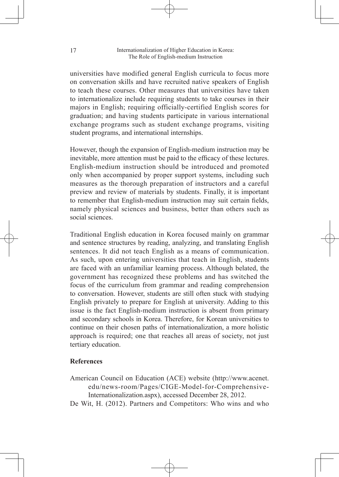universities have modified general English curricula to focus more on conversation skills and have recruited native speakers of English to teach these courses. Other measures that universities have taken to internationalize include requiring students to take courses in their majors in English; requiring officially-certified English scores for graduation; and having students participate in various international exchange programs such as student exchange programs, visiting student programs, and international internships.

However, though the expansion of English-medium instruction may be inevitable, more attention must be paid to the efficacy of these lectures. English-medium instruction should be introduced and promoted only when accompanied by proper support systems, including such measures as the thorough preparation of instructors and a careful preview and review of materials by students. Finally, it is important to remember that English-medium instruction may suit certain fields, namely physical sciences and business, better than others such as social sciences.

Traditional English education in Korea focused mainly on grammar and sentence structures by reading, analyzing, and translating English sentences. It did not teach English as a means of communication. As such, upon entering universities that teach in English, students are faced with an unfamiliar learning process. Although belated, the government has recognized these problems and has switched the focus of the curriculum from grammar and reading comprehension to conversation. However, students are still often stuck with studying English privately to prepare for English at university. Adding to this issue is the fact English-medium instruction is absent from primary and secondary schools in Korea. Therefore, for Korean universities to continue on their chosen paths of internationalization, a more holistic approach is required; one that reaches all areas of society, not just tertiary education.

### **References**

American Council on Education (ACE) website (http://www.acenet. edu/news-room/Pages/CIGE-Model-for-Comprehensive-Internationalization.aspx), accessed December 28, 2012.

De Wit, H. (2012). Partners and Competitors: Who wins and who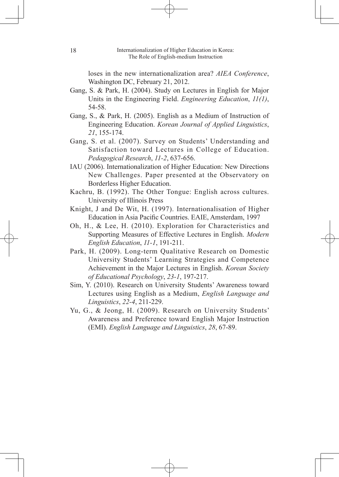loses in the new internationalization area? *AIEA Conference*, Washington DC, February 21, 2012.

- Gang, S. & Park, H. (2004). Study on Lectures in English for Major Units in the Engineering Field. *Engineering Education*, *11(1)*, 54-58.
- Gang, S., & Park, H. (2005). English as a Medium of Instruction of Engineering Education. *Korean Journal of Applied Linguistics*, *21*, 155-174.
- Gang, S. et al. (2007). Survey on Students' Understanding and Satisfaction toward Lectures in College of Education. *Pedagogical Research*, *11-2*, 637-656.
- IAU (2006). Internationalization of Higher Education: New Directions New Challenges. Paper presented at the Observatory on Borderless Higher Education.
- Kachru, B. (1992). The Other Tongue: English across cultures. University of Illinois Press
- Knight, J and De Wit, H. (1997). Internationalisation of Higher Education in Asia Pacific Countries. EAIE, Amsterdam, 1997
- Oh, H., & Lee, H. (2010). Exploration for Characteristics and Supporting Measures of Effective Lectures in English. *Modern English Education*, *11-1*, 191-211.
- Park, H. (2009). Long-term Qualitative Research on Domestic University Students' Learning Strategies and Competence Achievement in the Major Lectures in English. *Korean Society of Educational Psychology*, *23-1*, 197-217.
- Sim, Y. (2010). Research on University Students' Awareness toward Lectures using English as a Medium, *English Language and Linguistics*, *22-4*, 211-229.
- Yu, G., & Jeong, H. (2009). Research on University Students' Awareness and Preference toward English Major Instruction (EMI). *English Language and Linguistics*, *28*, 67-89.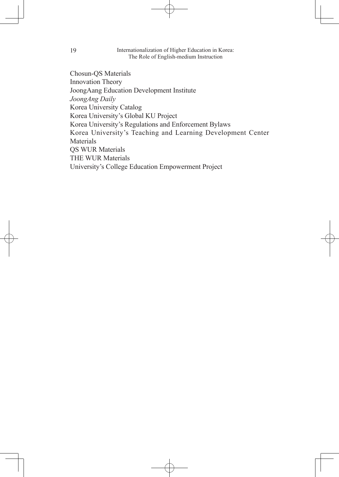Chosun-QS Materials Innovation Theory JoongAang Education Development Institute *JoongAng Daily* Korea University Catalog Korea University's Global KU Project Korea University's Regulations and Enforcement Bylaws Korea University's Teaching and Learning Development Center Materials QS WUR Materials THE WUR Materials University's College Education Empowerment Project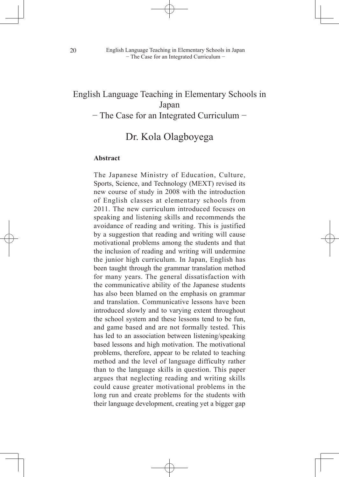# English Language Teaching in Elementary Schools in Japan

− The Case for an Integrated Curriculum −

# Dr. Kola Olagboyega

#### **Abstract**

The Japanese Ministry of Education, Culture, Sports, Science, and Technology (MEXT) revised its new course of study in 2008 with the introduction of English classes at elementary schools from 2011. The new curriculum introduced focuses on speaking and listening skills and recommends the avoidance of reading and writing. This is justified by a suggestion that reading and writing will cause motivational problems among the students and that the inclusion of reading and writing will undermine the junior high curriculum. In Japan, English has been taught through the grammar translation method for many years. The general dissatisfaction with the communicative ability of the Japanese students has also been blamed on the emphasis on grammar and translation. Communicative lessons have been introduced slowly and to varying extent throughout the school system and these lessons tend to be fun, and game based and are not formally tested. This has led to an association between listening/speaking based lessons and high motivation. The motivational problems, therefore, appear to be related to teaching method and the level of language difficulty rather than to the language skills in question. This paper argues that neglecting reading and writing skills could cause greater motivational problems in the long run and create problems for the students with their language development, creating yet a bigger gap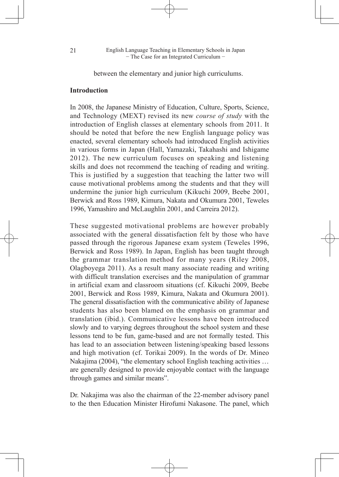between the elementary and junior high curriculums.

#### **Introduction**

In 2008, the Japanese Ministry of Education, Culture, Sports, Science, and Technology (MEXT) revised its new *course of study* with the introduction of English classes at elementary schools from 2011. It should be noted that before the new English language policy was enacted, several elementary schools had introduced English activities in various forms in Japan (Hall, Yamazaki, Takahashi and Ishigame 2012). The new curriculum focuses on speaking and listening skills and does not recommend the teaching of reading and writing. This is justified by a suggestion that teaching the latter two will cause motivational problems among the students and that they will undermine the junior high curriculum (Kikuchi 2009, Beebe 2001, Berwick and Ross 1989, Kimura, Nakata and Okumura 2001, Teweles 1996, Yamashiro and McLaughlin 2001, and Carreira 2012).

These suggested motivational problems are however probably associated with the general dissatisfaction felt by those who have passed through the rigorous Japanese exam system (Teweles 1996, Berwick and Ross 1989). In Japan, English has been taught through the grammar translation method for many years (Riley 2008, Olagboyega 2011). As a result many associate reading and writing with difficult translation exercises and the manipulation of grammar in artificial exam and classroom situations (cf. Kikuchi 2009, Beebe 2001, Berwick and Ross 1989, Kimura, Nakata and Okumura 2001). The general dissatisfaction with the communicative ability of Japanese students has also been blamed on the emphasis on grammar and translation (ibid.). Communicative lessons have been introduced slowly and to varying degrees throughout the school system and these lessons tend to be fun, game-based and are not formally tested. This has lead to an association between listening/speaking based lessons and high motivation (cf. Torikai 2009). In the words of Dr. Mineo Nakajima (2004), "the elementary school English teaching activities … are generally designed to provide enjoyable contact with the language through games and similar means".

Dr. Nakajima was also the chairman of the 22-member advisory panel to the then Education Minister Hirofumi Nakasone. The panel, which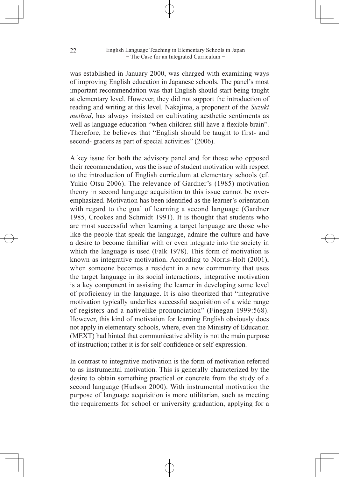was established in January 2000, was charged with examining ways of improving English education in Japanese schools. The panel's most important recommendation was that English should start being taught at elementary level. However, they did not support the introduction of reading and writing at this level. Nakajima, a proponent of the *Suzuki method*, has always insisted on cultivating aesthetic sentiments as well as language education "when children still have a flexible brain". Therefore, he believes that "English should be taught to first- and second- graders as part of special activities" (2006).

A key issue for both the advisory panel and for those who opposed their recommendation, was the issue of student motivation with respect to the introduction of English curriculum at elementary schools (cf. Yukio Otsu 2006). The relevance of Gardner's (1985) motivation theory in second language acquisition to this issue cannot be overemphasized. Motivation has been identified as the learner's orientation with regard to the goal of learning a second language (Gardner 1985, Crookes and Schmidt 1991). It is thought that students who are most successful when learning a target language are those who like the people that speak the language, admire the culture and have a desire to become familiar with or even integrate into the society in which the language is used (Falk 1978). This form of motivation is known as integrative motivation. According to Norris-Holt (2001), when someone becomes a resident in a new community that uses the target language in its social interactions, integrative motivation is a key component in assisting the learner in developing some level of proficiency in the language. It is also theorized that "integrative motivation typically underlies successful acquisition of a wide range of registers and a nativelike pronunciation" (Finegan 1999:568). However, this kind of motivation for learning English obviously does not apply in elementary schools, where, even the Ministry of Education (MEXT) had hinted that communicative ability is not the main purpose of instruction; rather it is for self-confidence or self-expression.

In contrast to integrative motivation is the form of motivation referred to as instrumental motivation. This is generally characterized by the desire to obtain something practical or concrete from the study of a second language (Hudson 2000). With instrumental motivation the purpose of language acquisition is more utilitarian, such as meeting the requirements for school or university graduation, applying for a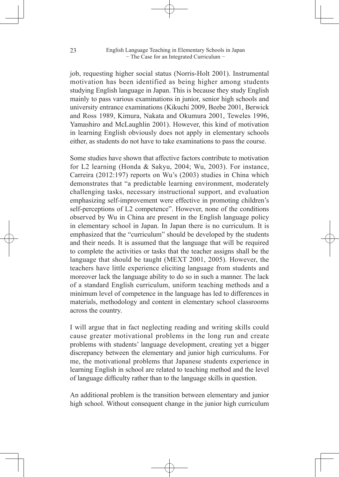job, requesting higher social status (Norris-Holt 2001). Instrumental motivation has been identified as being higher among students studying English language in Japan. This is because they study English mainly to pass various examinations in junior, senior high schools and university entrance examinations (Kikuchi 2009, Beebe 2001, Berwick and Ross 1989, Kimura, Nakata and Okumura 2001, Teweles 1996, Yamashiro and McLaughlin 2001). However, this kind of motivation in learning English obviously does not apply in elementary schools either, as students do not have to take examinations to pass the course.

Some studies have shown that affective factors contribute to motivation for L2 learning (Honda & Sakyu, 2004; Wu, 2003). For instance, Carreira (2012:197) reports on Wu's (2003) studies in China which demonstrates that "a predictable learning environment, moderately challenging tasks, necessary instructional support, and evaluation emphasizing self-improvement were effective in promoting children's self-perceptions of L2 competence". However, none of the conditions observed by Wu in China are present in the English language policy in elementary school in Japan. In Japan there is no curriculum. It is emphasized that the "curriculum" should be developed by the students and their needs. It is assumed that the language that will be required to complete the activities or tasks that the teacher assigns shall be the language that should be taught (MEXT 2001, 2005). However, the teachers have little experience eliciting language from students and moreover lack the language ability to do so in such a manner. The lack of a standard English curriculum, uniform teaching methods and a minimum level of competence in the language has led to differences in materials, methodology and content in elementary school classrooms across the country.

I will argue that in fact neglecting reading and writing skills could cause greater motivational problems in the long run and create problems with students' language development, creating yet a bigger discrepancy between the elementary and junior high curriculums. For me, the motivational problems that Japanese students experience in learning English in school are related to teaching method and the level of language difficulty rather than to the language skills in question.

An additional problem is the transition between elementary and junior high school. Without consequent change in the junior high curriculum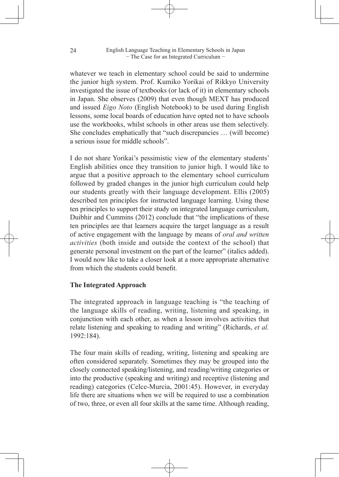whatever we teach in elementary school could be said to undermine the junior high system. Prof. Kumiko Yorikai of Rikkyo University investigated the issue of textbooks (or lack of it) in elementary schools in Japan. She observes (2009) that even though MEXT has produced and issued *Eigo Noto* (English Notebook) to be used during English lessons, some local boards of education have opted not to have schools use the workbooks, whilst schools in other areas use them selectively. She concludes emphatically that "such discrepancies … (will become) a serious issue for middle schools".

I do not share Yorikai's pessimistic view of the elementary students' English abilities once they transition to junior high. I would like to argue that a positive approach to the elementary school curriculum followed by graded changes in the junior high curriculum could help our students greatly with their language development. Ellis (2005) described ten principles for instructed language learning. Using these ten principles to support their study on integrated language curriculum, Duibhir and Cummins (2012) conclude that "the implications of these ten principles are that learners acquire the target language as a result of active engagement with the language by means of *oral and written activities* (both inside and outside the context of the school) that generate personal investment on the part of the learner" (italics added). I would now like to take a closer look at a more appropriate alternative from which the students could benefit.

## **The Integrated Approach**

The integrated approach in language teaching is "the teaching of the language skills of reading, writing, listening and speaking, in conjunction with each other, as when a lesson involves activities that relate listening and speaking to reading and writing" (Richards, *et al.*  1992:184).

The four main skills of reading, writing, listening and speaking are often considered separately. Sometimes they may be grouped into the closely connected speaking/listening, and reading/writing categories or into the productive (speaking and writing) and receptive (listening and reading) categories (Celce-Murcia, 2001:45). However, in everyday life there are situations when we will be required to use a combination of two, three, or even all four skills at the same time. Although reading,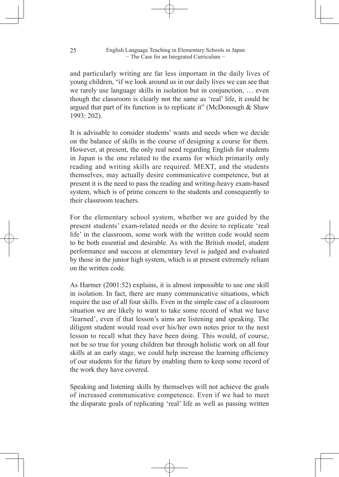and particularly writing are far less important in the daily lives of young children, "if we look around us in our daily lives we can see that we rarely use language skills in isolation but in conjunction, … even though the classroom is clearly not the same as 'real' life, it could be argued that part of its function is to replicate it" (McDonough  $&$  Shaw 1993: 202).

It is advisable to consider students' wants and needs when we decide on the balance of skills in the course of designing a course for them. However, at present, the only real need regarding English for students in Japan is the one related to the exams for which primarily only reading and writing skills are required. MEXT, and the students themselves, may actually desire communicative competence, but at present it is the need to pass the reading and writing-heavy exam-based system, which is of prime concern to the students and consequently to their classroom teachers.

For the elementary school system, whether we are guided by the present students' exam-related needs or the desire to replicate 'real life' in the classroom, some work with the written code would seem to be both essential and desirable. As with the British model, student performance and success at elementary level is judged and evaluated by those in the junior high system, which is at present extremely reliant on the written code.

As Harmer (2001:52) explains, it is almost impossible to use one skill in isolation. In fact, there are many communicative situations, which require the use of all four skills. Even in the simple case of a classroom situation we are likely to want to take some record of what we have 'learned', even if that lesson's aims are listening and speaking. The diligent student would read over his/her own notes prior to the next lesson to recall what they have been doing. This would, of course, not be so true for young children but through holistic work on all four skills at an early stage, we could help increase the learning efficiency of our students for the future by enabling them to keep some record of the work they have covered.

Speaking and listening skills by themselves will not achieve the goals of increased communicative competence. Even if we had to meet the disparate goals of replicating 'real' life as well as passing written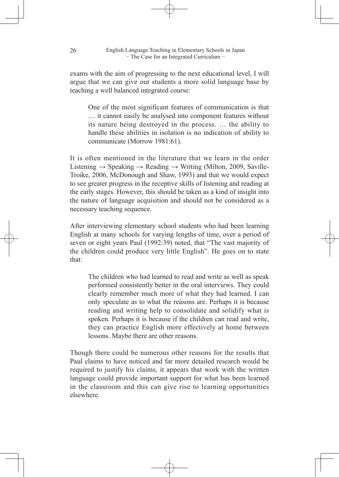exams with the aim of progressing to the next educational level, I will argue that we can give our students a more solid language base by teaching a well balanced integrated course:

One of the most significant features of communication is that … it cannot easily be analysed into component features without its nature being destroyed in the process. … the ability to handle these abilities in isolation is no indication of ability to communicate (Morrow 1981:61).

It is often mentioned in the literature that we learn in the order Listening  $\rightarrow$  Speaking  $\rightarrow$  Reading  $\rightarrow$  Writing (Milton, 2009, Saville-Troike, 2006, McDonough and Shaw, 1993) and that we would expect to see greater progress in the receptive skills of listening and reading at the early stages. However, this should be taken as a kind of insight into the nature of language acquisition and should not be considered as a necessary teaching sequence.

After interviewing elementary school students who had been learning English at many schools for varying lengths of time, over a period of seven or eight years Paul (1992:39) noted, that "The vast majority of the children could produce very little English". He goes on to state that:

The children who had learned to read and write as well as speak performed consistently better in the oral interviews. They could clearly remember much more of what they had learned. I can only speculate as to what the reasons are. Perhaps it is because reading and writing help to consolidate and solidify what is spoken. Perhaps it is because if the children can read and write, they can practice English more effectively at home between lessons. Maybe there are other reasons.

Though there could be numerous other reasons for the results that Paul claims to have noticed and far more detailed research would be required to justify his claims, it appears that work with the written language could provide important support for what has been learned in the classroom and this can give rise to learning opportunities elsewhere.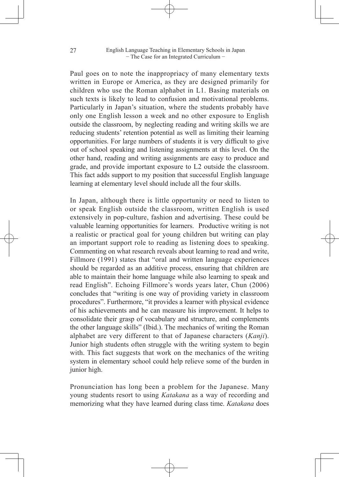Paul goes on to note the inappropriacy of many elementary texts written in Europe or America, as they are designed primarily for children who use the Roman alphabet in L1. Basing materials on such texts is likely to lead to confusion and motivational problems. Particularly in Japan's situation, where the students probably have only one English lesson a week and no other exposure to English outside the classroom, by neglecting reading and writing skills we are reducing students' retention potential as well as limiting their learning opportunities. For large numbers of students it is very difficult to give out of school speaking and listening assignments at this level. On the other hand, reading and writing assignments are easy to produce and grade, and provide important exposure to L2 outside the classroom. This fact adds support to my position that successful English language learning at elementary level should include all the four skills.

In Japan, although there is little opportunity or need to listen to or speak English outside the classroom, written English is used extensively in pop-culture, fashion and advertising. These could be valuable learning opportunities for learners. Productive writing is not a realistic or practical goal for young children but writing can play an important support role to reading as listening does to speaking. Commenting on what research reveals about learning to read and write, Fillmore (1991) states that "oral and written language experiences should be regarded as an additive process, ensuring that children are able to maintain their home language while also learning to speak and read English". Echoing Fillmore's words years later, Chun (2006) concludes that "writing is one way of providing variety in classroom procedures". Furthermore, "it provides a learner with physical evidence of his achievements and he can measure his improvement. It helps to consolidate their grasp of vocabulary and structure, and complements the other language skills" (Ibid.). The mechanics of writing the Roman alphabet are very different to that of Japanese characters (*Kanji*). Junior high students often struggle with the writing system to begin with. This fact suggests that work on the mechanics of the writing system in elementary school could help relieve some of the burden in junior high.

Pronunciation has long been a problem for the Japanese. Many young students resort to using *Katakana* as a way of recording and memorizing what they have learned during class time. *Katakana* does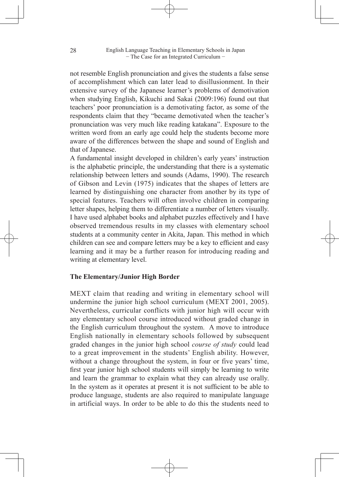not resemble English pronunciation and gives the students a false sense of accomplishment which can later lead to disillusionment. In their extensive survey of the Japanese learner's problems of demotivation when studying English, Kikuchi and Sakai (2009:196) found out that teachers' poor pronunciation is a demotivating factor, as some of the respondents claim that they "became demotivated when the teacher's pronunciation was very much like reading katakana". Exposure to the written word from an early age could help the students become more aware of the differences between the shape and sound of English and that of Japanese.

A fundamental insight developed in children's early years' instruction is the alphabetic principle, the understanding that there is a systematic relationship between letters and sounds (Adams, 1990). The research of Gibson and Levin (1975) indicates that the shapes of letters are learned by distinguishing one character from another by its type of special features. Teachers will often involve children in comparing letter shapes, helping them to differentiate a number of letters visually. I have used alphabet books and alphabet puzzles effectively and I have observed tremendous results in my classes with elementary school students at a community center in Akita, Japan. This method in which children can see and compare letters may be a key to efficient and easy learning and it may be a further reason for introducing reading and writing at elementary level.

## **The Elementary/Junior High Border**

MEXT claim that reading and writing in elementary school will undermine the junior high school curriculum (MEXT 2001, 2005). Nevertheless, curricular conflicts with junior high will occur with any elementary school course introduced without graded change in the English curriculum throughout the system. A move to introduce English nationally in elementary schools followed by subsequent graded changes in the junior high school *course of study* could lead to a great improvement in the students' English ability. However, without a change throughout the system, in four or five years' time, first year junior high school students will simply be learning to write and learn the grammar to explain what they can already use orally. In the system as it operates at present it is not sufficient to be able to produce language, students are also required to manipulate language in artificial ways. In order to be able to do this the students need to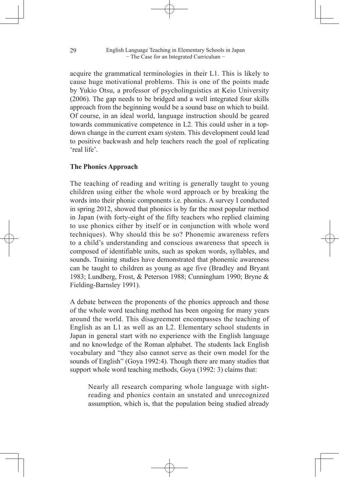acquire the grammatical terminologies in their L1. This is likely to cause huge motivational problems. This is one of the points made by Yukio Otsu, a professor of psycholinguistics at Keio University (2006). The gap needs to be bridged and a well integrated four skills approach from the beginning would be a sound base on which to build. Of course, in an ideal world, language instruction should be geared towards communicative competence in L2. This could usher in a topdown change in the current exam system. This development could lead to positive backwash and help teachers reach the goal of replicating 'real life'.

## **The Phonics Approach**

The teaching of reading and writing is generally taught to young children using either the whole word approach or by breaking the words into their phonic components i.e. phonics. A survey I conducted in spring 2012, showed that phonics is by far the most popular method in Japan (with forty-eight of the fifty teachers who replied claiming to use phonics either by itself or in conjunction with whole word techniques). Why should this be so? Phonemic awareness refers to a child's understanding and conscious awareness that speech is composed of identifiable units, such as spoken words, syllables, and sounds. Training studies have demonstrated that phonemic awareness can be taught to children as young as age five (Bradley and Bryant 1983; Lundberg, Frost, & Peterson 1988; Cunningham 1990; Bryne & Fielding-Barnsley 1991).

A debate between the proponents of the phonics approach and those of the whole word teaching method has been ongoing for many years around the world. This disagreement encompasses the teaching of English as an L1 as well as an L2. Elementary school students in Japan in general start with no experience with the English language and no knowledge of the Roman alphabet. The students lack English vocabulary and "they also cannot serve as their own model for the sounds of English" (Goya 1992:4). Though there are many studies that support whole word teaching methods, Goya (1992: 3) claims that:

Nearly all research comparing whole language with sightreading and phonics contain an unstated and unrecognized assumption, which is, that the population being studied already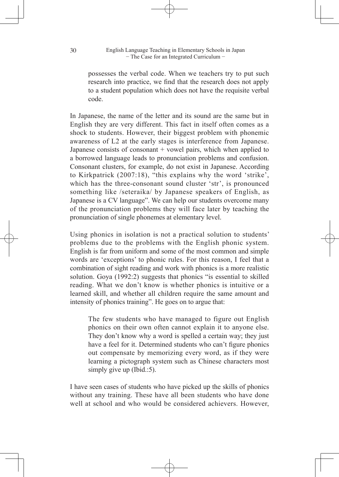possesses the verbal code. When we teachers try to put such research into practice, we find that the research does not apply to a student population which does not have the requisite verbal code.

In Japanese, the name of the letter and its sound are the same but in English they are very different. This fact in itself often comes as a shock to students. However, their biggest problem with phonemic awareness of L2 at the early stages is interference from Japanese. Japanese consists of consonant  $+$  vowel pairs, which when applied to a borrowed language leads to pronunciation problems and confusion. Consonant clusters, for example, do not exist in Japanese. According to Kirkpatrick (2007:18), "this explains why the word 'strike', which has the three-consonant sound cluster 'str', is pronounced something like /seteraika/ by Japanese speakers of English, as Japanese is a CV language". We can help our students overcome many of the pronunciation problems they will face later by teaching the pronunciation of single phonemes at elementary level.

Using phonics in isolation is not a practical solution to students' problems due to the problems with the English phonic system. English is far from uniform and some of the most common and simple words are 'exceptions' to phonic rules. For this reason, I feel that a combination of sight reading and work with phonics is a more realistic solution. Goya (1992:2) suggests that phonics "is essential to skilled reading. What we don't know is whether phonics is intuitive or a learned skill, and whether all children require the same amount and intensity of phonics training". He goes on to argue that:

The few students who have managed to figure out English phonics on their own often cannot explain it to anyone else. They don't know why a word is spelled a certain way; they just have a feel for it. Determined students who can't figure phonics out compensate by memorizing every word, as if they were learning a pictograph system such as Chinese characters most simply give up (Ibid.:5).

I have seen cases of students who have picked up the skills of phonics without any training. These have all been students who have done well at school and who would be considered achievers. However,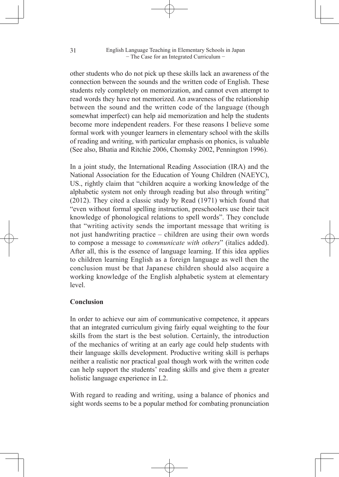other students who do not pick up these skills lack an awareness of the connection between the sounds and the written code of English. These students rely completely on memorization, and cannot even attempt to read words they have not memorized. An awareness of the relationship between the sound and the written code of the language (though somewhat imperfect) can help aid memorization and help the students become more independent readers. For these reasons I believe some formal work with younger learners in elementary school with the skills of reading and writing, with particular emphasis on phonics, is valuable (See also, Bhatia and Ritchie 2006, Chomsky 2002, Pennington 1996).

In a joint study, the International Reading Association (IRA) and the National Association for the Education of Young Children (NAEYC), US., rightly claim that "children acquire a working knowledge of the alphabetic system not only through reading but also through writing" (2012). They cited a classic study by Read (1971) which found that "even without formal spelling instruction, preschoolers use their tacit knowledge of phonological relations to spell words". They conclude that "writing activity sends the important message that writing is not just handwriting practice – children are using their own words to compose a message to *communicate with others*" (italics added). After all, this is the essence of language learning. If this idea applies to children learning English as a foreign language as well then the conclusion must be that Japanese children should also acquire a working knowledge of the English alphabetic system at elementary level.

## **Conclusion**

In order to achieve our aim of communicative competence, it appears that an integrated curriculum giving fairly equal weighting to the four skills from the start is the best solution. Certainly, the introduction of the mechanics of writing at an early age could help students with their language skills development. Productive writing skill is perhaps neither a realistic nor practical goal though work with the written code can help support the students' reading skills and give them a greater holistic language experience in L2.

With regard to reading and writing, using a balance of phonics and sight words seems to be a popular method for combating pronunciation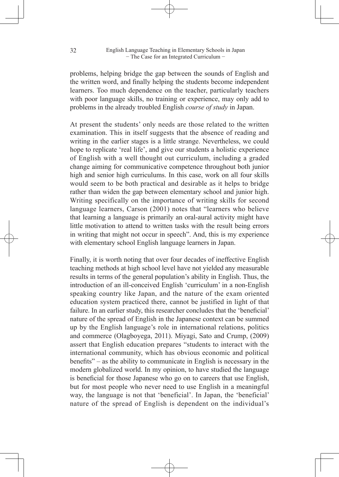problems, helping bridge the gap between the sounds of English and the written word, and finally helping the students become independent learners. Too much dependence on the teacher, particularly teachers with poor language skills, no training or experience, may only add to problems in the already troubled English *course of study* in Japan.

At present the students' only needs are those related to the written examination. This in itself suggests that the absence of reading and writing in the earlier stages is a little strange. Nevertheless, we could hope to replicate 'real life', and give our students a holistic experience of English with a well thought out curriculum, including a graded change aiming for communicative competence throughout both junior high and senior high curriculums. In this case, work on all four skills would seem to be both practical and desirable as it helps to bridge rather than widen the gap between elementary school and junior high. Writing specifically on the importance of writing skills for second language learners, Carson (2001) notes that "learners who believe that learning a language is primarily an oral-aural activity might have little motivation to attend to written tasks with the result being errors in writing that might not occur in speech". And, this is my experience with elementary school English language learners in Japan.

Finally, it is worth noting that over four decades of ineffective English teaching methods at high school level have not yielded any measurable results in terms of the general population's ability in English. Thus, the introduction of an ill-conceived English 'curriculum' in a non-English speaking country like Japan, and the nature of the exam oriented education system practiced there, cannot be justified in light of that failure. In an earlier study, this researcher concludes that the 'beneficial' nature of the spread of English in the Japanese context can be summed up by the English language's role in international relations, politics and commerce (Olagboyega, 2011). Miyagi, Sato and Crump, (2009) assert that English education prepares "students to interact with the international community, which has obvious economic and political benefits" – as the ability to communicate in English is necessary in the modern globalized world. In my opinion, to have studied the language is beneficial for those Japanese who go on to careers that use English, but for most people who never need to use English in a meaningful way, the language is not that 'beneficial'. In Japan, the 'beneficial' nature of the spread of English is dependent on the individual's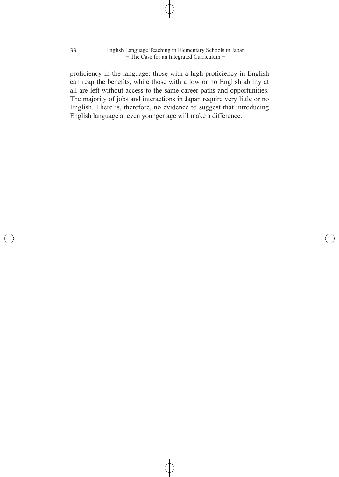proficiency in the language: those with a high proficiency in English can reap the benefits, while those with a low or no English ability at all are left without access to the same career paths and opportunities. The majority of jobs and interactions in Japan require very little or no English. There is, therefore, no evidence to suggest that introducing English language at even younger age will make a difference.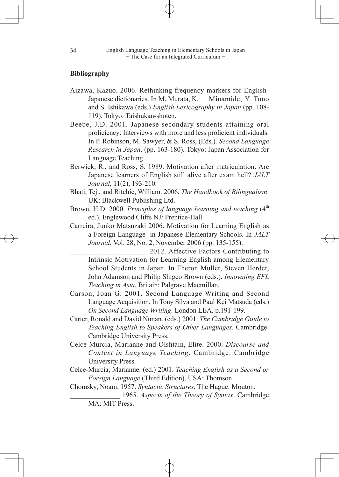## **Bibliography**

- Aizawa, Kazuo. 2006. Rethinking frequency markers for English-Japanese dictionaries. In M. Murata, K. Minamide, Y. Tono and S. Ishikawa (eds.) *English Lexicography in Japan* (pp. 108- 119). Tokyo: Taishukan-shoten.
- Beebe, J.D. 2001. Japanese secondary students attaining oral proficiency: Interviews with more and less proficient individuals. In P. Robinson, M. Sawyer, & S. Ross, (Eds.). *Second Language Research in Japan*. (pp. 163-180). Tokyo: Japan Association for Language Teaching.
- Berwick, R., and Ross, S. 1989. Motivation after matriculation: Are Japanese learners of English still alive after exam hell? *JALT Journal*, 11(2), 193-210.
- Bhati, Tej., and Ritchie, William. 2006. *The Handbook of Bilingualism*. UK: Blackwell Publishing Ltd.
- Brown, H.D. 2000. *Principles of language learning and teaching* (4<sup>th</sup>) ed.). Englewood Cliffs NJ: Prentice-Hall.
- Carreira, Junko Matsuzaki 2006. Motivation for Learning English as a Foreign Language in Japanese Elementary Schools. In *JALT Journal*, Vol. 28, No. 2, November 2006 (pp. 135-155).

\_\_\_\_\_\_\_\_\_\_\_\_\_\_\_\_\_\_\_\_\_ 2012. Affective Factors Contributing to Intrinsic Motivation for Learning English among Elementary School Students in Japan. In Theron Muller, Steven Herder, John Adamson and Philip Shigeo Brown (eds.). *Innovating EFL Teaching in Asia*. Britain: Palgrave Macmillan.

- Carson, Joan G. 2001. Second Language Writing and Second Language Acquisition. In Tony Silva and Paul Kei Matsuda (eds.) *On Second Language Writing*. London LEA. p.191-199.
- Carter, Ronald and David Nunan. (eds.) 2001. *The Cambridge Guide to Teaching English to Speakers of Other Languages*. Cambridge: Cambridge University Press.
- Celce-Murcia, Marianne and Olshtain, Elite. 2000. *Discourse and Context in Language Teaching*. Cambridge: Cambridge University Press.
- Celce-Murcia, Marianne. (ed.) 2001. *Teaching English as a Second or Foreign Language* (Third Edition), USA: Thomson.
- Chomsky, Noam. 1957. *Syntactic Structures*. The Hague: Mouton.
	- \_\_\_\_\_\_\_\_\_\_\_\_\_\_ 1965. *Aspects of the Theory of Syntax*. Cambridge MA: MIT Press.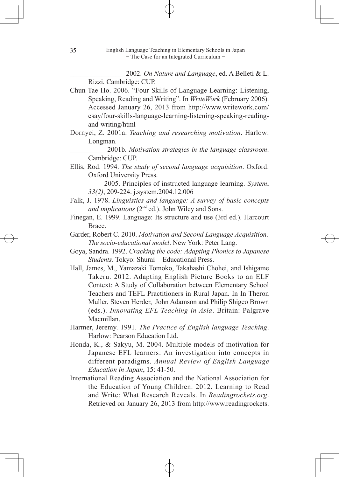\_\_\_\_\_\_\_\_\_\_\_\_\_\_\_ 2002. *On Nature and Language*, ed. A Belleti & L. Rizzi. Cambridge: CUP.

- Chun Tae Ho. 2006. "Four Skills of Language Learning: Listening, Speaking, Reading and Writing". In *WriteWork* (February 2006). Accessed January 26, 2013 from http://www.writework.com/ esay/four-skills-language-learning-listening-speaking-readingand-writing/html
- Dornyei, Z. 2001a. *Teaching and researching motivation*. Harlow: Longman.

\_\_\_\_\_\_\_\_\_\_ 2001b. *Motivation strategies in the language classroom*. Cambridge: CUP.

Ellis, Rod. 1994. *The study of second language acquisition*. Oxford: Oxford University Press.

\_\_\_\_\_\_\_\_\_ 2005. Principles of instructed language learning. *System*, *33(2)*, 209-224. j.system.2004.12.006

- Falk, J. 1978. *Linguistics and language: A survey of basic concepts and implications*  $(2^{nd}$  ed.). John Wiley and Sons.
- Finegan, E. 1999. Language: Its structure and use (3rd ed.). Harcourt Brace.
- Garder, Robert C. 2010. *Motivation and Second Language Acquisition: The socio-educational model*. New York: Peter Lang.
- Goya, Sandra. 1992. *Cracking the code: Adapting Phonics to Japanese Students*. Tokyo: Shurai Educational Press.
- Hall, James, M., Yamazaki Tomoko, Takahashi Chohei, and Ishigame Takeru. 2012. Adapting English Picture Books to an ELF Context: A Study of Collaboration between Elementary School Teachers and TEFL Practitioners in Rural Japan. In In Theron Muller, Steven Herder, John Adamson and Philip Shigeo Brown (eds.). *Innovating EFL Teaching in Asia*. Britain: Palgrave Macmillan.
- Harmer, Jeremy. 1991. *The Practice of English language Teaching*. Harlow: Pearson Education Ltd.
- Honda, K., & Sakyu, M. 2004. Multiple models of motivation for Japanese EFL learners: An investigation into concepts in different paradigms. *Annual Review of English Language Education in Japan*, 15: 41-50.
- International Reading Association and the National Association for the Education of Young Children. 2012. Learning to Read and Write: What Research Reveals. In *Readingrockets.org*. Retrieved on January 26, 2013 from http://www.readingrockets.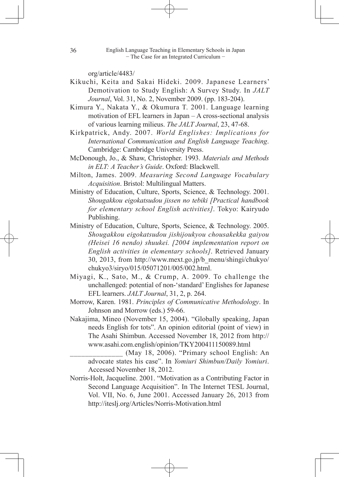org/article/4483/

- Kikuchi, Keita and Sakai Hideki. 2009. Japanese Learners' Demotivation to Study English: A Survey Study. In *JALT Journal*, Vol. 31, No. 2, November 2009. (pp. 183-204).
- Kimura Y., Nakata Y., & Okumura T. 2001. Language learning motivation of EFL learners in Japan – A cross-sectional analysis of various learning milieus. *The JALT Journal*, 23, 47-68.
- Kirkpatrick, Andy. 2007. *World Englishes: Implications for International Communication and English Language Teaching*. Cambridge: Cambridge University Press.
- McDonough, Jo., & Shaw, Christopher. 1993. *Materials and Methods in ELT: A Teacher's Guide*. Oxford: Blackwell.
- Milton, James. 2009. *Measuring Second Language Vocabulary Acquisition*. Bristol: Multilingual Matters.
- Ministry of Education, Culture, Sports, Science, & Technology. 2001. *Shougakkou eigokatsudou jissen no tebiki [Practical handbook for elementary school English activities]*. Tokyo: Kairyudo Publishing.
- Ministry of Education, Culture, Sports, Science, & Technology. 2005. *Shougakkou eigokatsudou jishijoukyou chousakekka gaiyou (Heisei 16 nendo) shuukei. [2004 implementation report on English activities in elementary schools]*. Retrieved January 30, 2013, from http://www.mext.go.jp/b\_menu/shingi/chukyo/ chukyo3/siryo/015/05071201/005/002.html.
- Miyagi, K., Sato, M., & Crump, A. 2009. To challenge the unchallenged: potential of non-'standard' Englishes for Japanese EFL learners. *JALT Journal*, 31, 2, p. 264.
- Morrow, Karen. 1981. *Principles of Communicative Methodology*. In Johnson and Morrow (eds.) 59-66.
- Nakajima, Mineo (November 15, 2004). "Globally speaking, Japan needs English for tots". An opinion editorial (point of view) in The Asahi Shimbun. Accessed November 18, 2012 from http:// www.asahi.com.english/opinion/TKY200411150089.html

(May 18, 2006). "Primary school English: An advocate states his case". In *Yomiuri Shimbun/Daily Yomiuri*. Accessed November 18, 2012.

Norris-Holt, Jacqueline. 2001. "Motivation as a Contributing Factor in Second Language Acquisition". In The Internet TESL Journal, Vol. VII, No. 6, June 2001. Accessed January 26, 2013 from http://iteslj.org/Articles/Norris-Motivation.html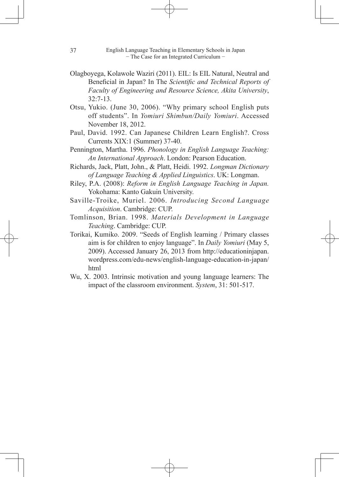- Olagboyega, Kolawole Waziri (2011). EIL: Is EIL Natural, Neutral and Beneficial in Japan? In The *Scientific and Technical Reports of Faculty of Engineering and Resource Science, Akita University*, 32:7-13.
- Otsu, Yukio. (June 30, 2006). "Why primary school English puts off students". In *Yomiuri Shimbun/Daily Yomiuri*. Accessed November 18, 2012.
- Paul, David. 1992. Can Japanese Children Learn English?. Cross Currents XIX:1 (Summer) 37-40.
- Pennington, Martha. 1996. *Phonology in English Language Teaching: An International Approach*. London: Pearson Education.
- Richards, Jack, Platt, John., & Platt, Heidi. 1992. *Longman Dictionary of Language Teaching & Applied Linguistics*. UK: Longman.
- Riley, P.A. (2008): *Reform in English Language Teaching in Japan.* Yokohama: Kanto Gakuin University.
- Saville-Troike, Muriel. 2006. *Introducing Second Language Acquisition*. Cambridge: CUP.
- Tomlinson, Brian. 1998. *Materials Development in Language Teaching*. Cambridge: CUP.
- Torikai, Kumiko. 2009. "Seeds of English learning / Primary classes aim is for children to enjoy language". In *Daily Yomiuri* (May 5, 2009). Accessed January 26, 2013 from http://educationinjapan. wordpress.com/edu-news/english-language-education-in-japan/ html
- Wu, X. 2003. Intrinsic motivation and young language learners: The impact of the classroom environment. *System*, 31: 501-517.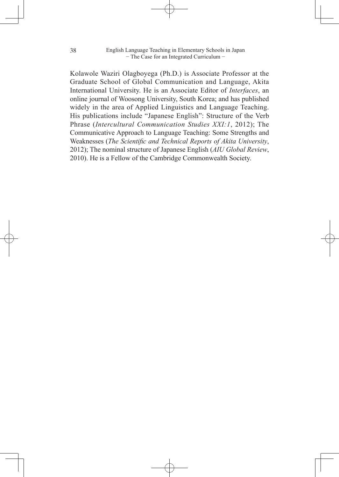Kolawole Waziri Olagboyega (Ph.D.) is Associate Professor at the Graduate School of Global Communication and Language, Akita International University. He is an Associate Editor of *Interfaces*, an online journal of Woosong University, South Korea; and has published widely in the area of Applied Linguistics and Language Teaching. His publications include "Japanese English": Structure of the Verb Phrase (*Intercultural Communication Studies XXI:1*, 2012); The Communicative Approach to Language Teaching: Some Strengths and Weaknesses (*The Scientific and Technical Reports of Akita University*, 2012); The nominal structure of Japanese English (*AIU Global Review*, 2010). He is a Fellow of the Cambridge Commonwealth Society.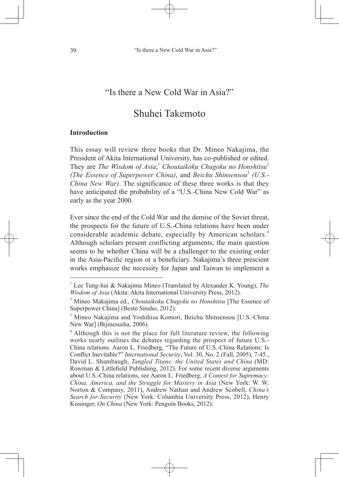## "Is there a New Cold War in Asia?"

# Shuhei Takemoto

#### **Introduction**

This essay will review three books that Dr. Mineo Nakajima, the President of Akita International University, has co-published or edited. They are *The Wisdom of Asia*, <sup>1</sup> *Choutaikoku Chugoku no Honshitsu*<sup>2</sup> *(The Essence of Superpower China)*, and *Beichu Shinsensou*<sup>3</sup>  *(U.S.- China New War)*. The significance of these three works is that they have anticipated the probability of a "U.S.-China New Cold War" as early as the year 2000.

Ever since the end of the Cold War and the demise of the Soviet threat, the prospects for the future of U.S.-China relations have been under considerable academic debate, especially by American scholars.<sup>4</sup> Although scholars present conflicting arguments, the main question seems to be whether China will be a challenger to the existing order in the Asia-Pacific region or a beneficiary. Nakajima's three prescient works emphasize the necessity for Japan and Taiwan to implement a

<sup>&</sup>lt;sup>1</sup> Lee Tung-hui & Nakajima Mineo (Translated by Alexander K. Young), *The Wisdom of Asia* (Akita: Akita International University Press, 2012).

<sup>2</sup> Mineo Makajima ed., *Choutaikoku Chugoku no Honshitsu* [The Essence of Superpower China] (Besto Sinsho, 2012).

<sup>&</sup>lt;sup>3</sup> Mineo Nakajima and Yoshihisa Komori, Beichu Shinsensou [U.S.-China New War] (Bijinesusha, 2006).

<sup>&</sup>lt;sup>4</sup> Although this is not the place for full literature review, the following works neatly outlines the debates regarding the prospect of future U.S.- China relations. Aaron L. Friedberg, "The Future of U.S.-China Relations: Is Conflict Inevitable?" *International Security*, Vol. 30, No. 2 (Fall, 2005), 7-45., David L. Shambaugh, *Tangled Titans: the United States and China* (MD: Rowman & Littlefield Publishing, 2012). For some recent diverse arguments about U.S.-China relations, see Aaron L. Friedberg, *A Contest for Supremacy: China, America, and the Struggle for Mastery in Asia* (New York: W. W. Norton & Company, 2011), Andrew Nathan and Andrew Scobell, *China's Search for Security* (New York: Columbia University Press, 2012), Henry Kissinger, *On China* (New York: Penguin Books, 2012).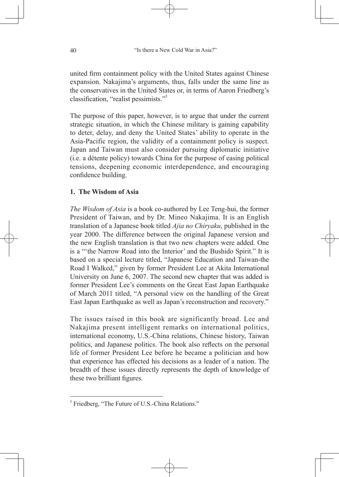united firm containment policy with the United States against Chinese expansion. Nakajima's arguments, thus, falls under the same line as the conservatives in the United States or, in terms of Aaron Friedberg's classification, "realist pessimists."5

The purpose of this paper, however, is to argue that under the current strategic situation, in which the Chinese military is gaining capability to deter, delay, and deny the United States' ability to operate in the Asia-Pacific region, the validity of a containment policy is suspect. Japan and Taiwan must also consider pursuing diplomatic initiative (i.e. a détente policy) towards China for the purpose of easing political tensions, deepening economic interdependence, and encouraging confidence building.

## **1. The Wisdom of Asia**

*The Wisdom of Asia* is a book co-authored by Lee Teng-hui, the former President of Taiwan, and by Dr. Mineo Nakajima. It is an English translation of a Japanese book titled *Ajia no Chiryaku*, published in the year 2000. The difference between the original Japanese version and the new English translation is that two new chapters were added. One is a "'the Narrow Road into the Interior' and the Bushido Spirit." It is based on a special lecture titled, "Japanese Education and Taiwan-the Road I Walked," given by former President Lee at Akita International University on June 6, 2007. The second new chapter that was added is former President Lee's comments on the Great East Japan Earthquake of March 2011 titled, "A personal view on the handling of the Great East Japan Earthquake as well as Japan's reconstruction and recovery."

The issues raised in this book are significantly broad. Lee and Nakajima present intelligent remarks on international politics, international economy, U.S.-China relations, Chinese history, Taiwan politics, and Japanese politics. The book also reflects on the personal life of former President Lee before he became a politician and how that experience has effected his decisions as a leader of a nation. The breadth of these issues directly represents the depth of knowledge of these two brilliant figures.

<sup>&</sup>lt;sup>5</sup> Friedberg, "The Future of U.S.-China Relations."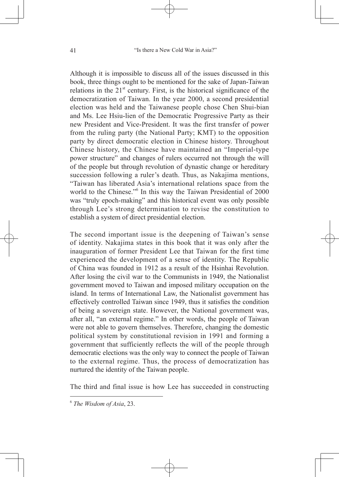Although it is impossible to discuss all of the issues discussed in this book, three things ought to be mentioned for the sake of Japan-Taiwan relations in the  $21<sup>st</sup>$  century. First, is the historical significance of the democratization of Taiwan. In the year 2000, a second presidential election was held and the Taiwanese people chose Chen Shui-bian and Ms. Lee Hsiu-lien of the Democratic Progressive Party as their new President and Vice-President. It was the first transfer of power from the ruling party (the National Party; KMT) to the opposition party by direct democratic election in Chinese history. Throughout Chinese history, the Chinese have maintained an "Imperial-type power structure" and changes of rulers occurred not through the will of the people but through revolution of dynastic change or hereditary succession following a ruler's death. Thus, as Nakajima mentions, "Taiwan has liberated Asia's international relations space from the world to the Chinese."<sup>6</sup> In this way the Taiwan Presidential of 2000 was "truly epoch-making" and this historical event was only possible through Lee's strong determination to revise the constitution to establish a system of direct presidential election.

The second important issue is the deepening of Taiwan's sense of identity. Nakajima states in this book that it was only after the inauguration of former President Lee that Taiwan for the first time experienced the development of a sense of identity. The Republic of China was founded in 1912 as a result of the Hsinhai Revolution. After losing the civil war to the Communists in 1949, the Nationalist government moved to Taiwan and imposed military occupation on the island. In terms of International Law, the Nationalist government has effectively controlled Taiwan since 1949, thus it satisfies the condition of being a sovereign state. However, the National government was, after all, "an external regime." In other words, the people of Taiwan were not able to govern themselves. Therefore, changing the domestic political system by constitutional revision in 1991 and forming a government that sufficiently reflects the will of the people through democratic elections was the only way to connect the people of Taiwan to the external regime. Thus, the process of democratization has nurtured the identity of the Taiwan people.

The third and final issue is how Lee has succeeded in constructing

<sup>6</sup> *The Wisdom of Asia*, 23.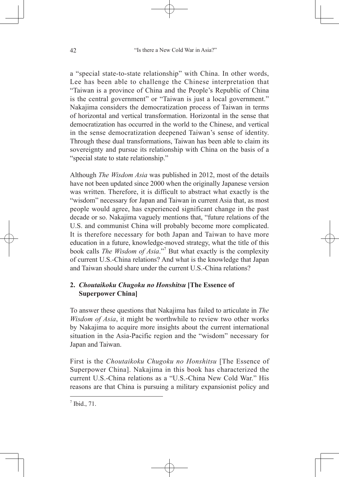a "special state-to-state relationship" with China. In other words, Lee has been able to challenge the Chinese interpretation that "Taiwan is a province of China and the People's Republic of China is the central government" or "Taiwan is just a local government." Nakajima considers the democratization process of Taiwan in terms of horizontal and vertical transformation. Horizontal in the sense that democratization has occurred in the world to the Chinese, and vertical in the sense democratization deepened Taiwan's sense of identity. Through these dual transformations, Taiwan has been able to claim its sovereignty and pursue its relationship with China on the basis of a "special state to state relationship."

Although *The Wisdom Asia* was published in 2012, most of the details have not been updated since 2000 when the originally Japanese version was written. Therefore, it is difficult to abstract what exactly is the "wisdom" necessary for Japan and Taiwan in current Asia that, as most people would agree, has experienced significant change in the past decade or so. Nakajima vaguely mentions that, "future relations of the U.S. and communist China will probably become more complicated. It is therefore necessary for both Japan and Taiwan to have more education in a future, knowledge-moved strategy, what the title of this book calls *The Wisdom of Asia*."7 But what exactly is the complexity of current U.S.-China relations? And what is the knowledge that Japan and Taiwan should share under the current U.S.-China relations?

## **2.** *Choutaikoku Chugoku no Honshitsu* **[The Essence of Superpower China]**

To answer these questions that Nakajima has failed to articulate in *The Wisdom of Asia*, it might be worthwhile to review two other works by Nakajima to acquire more insights about the current international situation in the Asia-Pacific region and the "wisdom" necessary for Japan and Taiwan.

First is the *Choutaikoku Chugoku no Honshitsu* [The Essence of Superpower China]. Nakajima in this book has characterized the current U.S.-China relations as a "U.S.-China New Cold War." His reasons are that China is pursuing a military expansionist policy and

 $<sup>7</sup>$  Ibid., 71.</sup>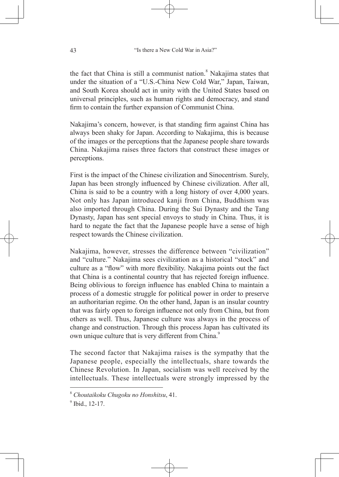the fact that China is still a communist nation.<sup>8</sup> Nakajima states that under the situation of a "U.S.-China New Cold War," Japan, Taiwan, and South Korea should act in unity with the United States based on universal principles, such as human rights and democracy, and stand firm to contain the further expansion of Communist China.

Nakajima's concern, however, is that standing firm against China has always been shaky for Japan. According to Nakajima, this is because of the images or the perceptions that the Japanese people share towards China. Nakajima raises three factors that construct these images or perceptions.

First is the impact of the Chinese civilization and Sinocentrism. Surely, Japan has been strongly influenced by Chinese civilization. After all, China is said to be a country with a long history of over 4,000 years. Not only has Japan introduced kanji from China, Buddhism was also imported through China. During the Sui Dynasty and the Tang Dynasty, Japan has sent special envoys to study in China. Thus, it is hard to negate the fact that the Japanese people have a sense of high respect towards the Chinese civilization.

Nakajima, however, stresses the difference between "civilization" and "culture." Nakajima sees civilization as a historical "stock" and culture as a "flow" with more flexibility. Nakajima points out the fact that China is a continental country that has rejected foreign influence. Being oblivious to foreign influence has enabled China to maintain a process of a domestic struggle for political power in order to preserve an authoritarian regime. On the other hand, Japan is an insular country that was fairly open to foreign influence not only from China, but from others as well. Thus, Japanese culture was always in the process of change and construction. Through this process Japan has cultivated its own unique culture that is very different from China.<sup>9</sup>

The second factor that Nakajima raises is the sympathy that the Japanese people, especially the intellectuals, share towards the Chinese Revolution. In Japan, socialism was well received by the intellectuals. These intellectuals were strongly impressed by the

<sup>8</sup> *Choutaikoku Chugoku no Honshitsu*, 41.

 $<sup>9</sup>$  Ibid., 12-17.</sup>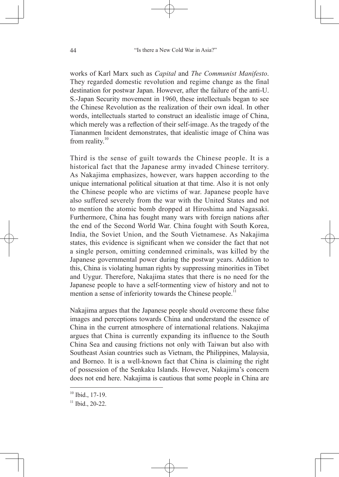works of Karl Marx such as *Capital* and *The Communist Manifesto*. They regarded domestic revolution and regime change as the final destination for postwar Japan. However, after the failure of the anti-U. S.-Japan Security movement in 1960, these intellectuals began to see the Chinese Revolution as the realization of their own ideal. In other words, intellectuals started to construct an idealistic image of China, which merely was a reflection of their self-image. As the tragedy of the Tiananmen Incident demonstrates, that idealistic image of China was from reality. $10$ 

Third is the sense of guilt towards the Chinese people. It is a historical fact that the Japanese army invaded Chinese territory. As Nakajima emphasizes, however, wars happen according to the unique international political situation at that time. Also it is not only the Chinese people who are victims of war. Japanese people have also suffered severely from the war with the United States and not to mention the atomic bomb dropped at Hiroshima and Nagasaki. Furthermore, China has fought many wars with foreign nations after the end of the Second World War. China fought with South Korea, India, the Soviet Union, and the South Vietnamese. As Nakajima states, this evidence is significant when we consider the fact that not a single person, omitting condemned criminals, was killed by the Japanese governmental power during the postwar years. Addition to this, China is violating human rights by suppressing minorities in Tibet and Uygur. Therefore, Nakajima states that there is no need for the Japanese people to have a self-tormenting view of history and not to mention a sense of inferiority towards the Chinese people.<sup>11</sup>

Nakajima argues that the Japanese people should overcome these false images and perceptions towards China and understand the essence of China in the current atmosphere of international relations. Nakajima argues that China is currently expanding its influence to the South China Sea and causing frictions not only with Taiwan but also with Southeast Asian countries such as Vietnam, the Philippines, Malaysia, and Borneo. It is a well-known fact that China is claiming the right of possession of the Senkaku Islands. However, Nakajima's concern does not end here. Nakajima is cautious that some people in China are

 $10$  Ibid., 17-19.

 $11$  Ibid., 20-22.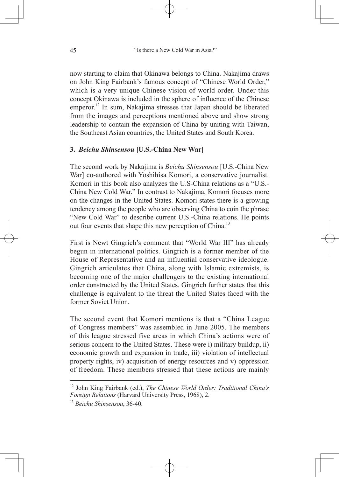now starting to claim that Okinawa belongs to China. Nakajima draws on John King Fairbank's famous concept of "Chinese World Order," which is a very unique Chinese vision of world order. Under this concept Okinawa is included in the sphere of influence of the Chinese emperor.<sup>12</sup> In sum, Nakajima stresses that Japan should be liberated from the images and perceptions mentioned above and show strong leadership to contain the expansion of China by uniting with Taiwan, the Southeast Asian countries, the United States and South Korea.

## **3.** *Beichu Shinsensou* **[U.S.-China New War]**

The second work by Nakajima is *Beichu Shinsensou* [U.S.-China New War] co-authored with Yoshihisa Komori, a conservative journalist. Komori in this book also analyzes the U.S-China relations as a "U.S.- China New Cold War." In contrast to Nakajima, Komori focuses more on the changes in the United States. Komori states there is a growing tendency among the people who are observing China to coin the phrase "New Cold War" to describe current U.S.-China relations. He points out four events that shape this new perception of China.<sup>13</sup>

First is Newt Gingrich's comment that "World War III" has already begun in international politics. Gingrich is a former member of the House of Representative and an influential conservative ideologue. Gingrich articulates that China, along with Islamic extremists, is becoming one of the major challengers to the existing international order constructed by the United States. Gingrich further states that this challenge is equivalent to the threat the United States faced with the former Soviet Union.

The second event that Komori mentions is that a "China League of Congress members" was assembled in June 2005. The members of this league stressed five areas in which China's actions were of serious concern to the United States. These were i) military buildup, ii) economic growth and expansion in trade, iii) violation of intellectual property rights, iv) acquisition of energy resources and v) oppression of freedom. These members stressed that these actions are mainly

<sup>12</sup> John King Fairbank (ed.), *The Chinese World Order: Traditional China's Foreign Relations* (Harvard University Press, 1968), 2.

<sup>13</sup> *Beichu Shinsensou*, 36-40.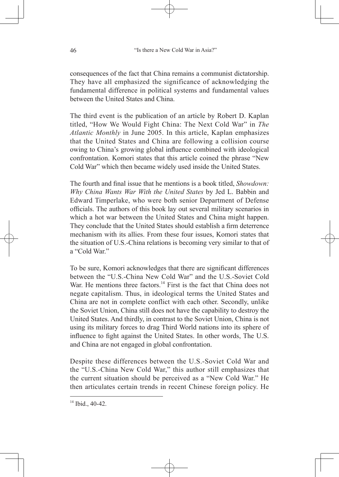consequences of the fact that China remains a communist dictatorship. They have all emphasized the significance of acknowledging the fundamental difference in political systems and fundamental values between the United States and China.

The third event is the publication of an article by Robert D. Kaplan titled, "How We Would Fight China: The Next Cold War" in *The Atlantic Monthly* in June 2005. In this article, Kaplan emphasizes that the United States and China are following a collision course owing to China's growing global influence combined with ideological confrontation. Komori states that this article coined the phrase "New Cold War" which then became widely used inside the United States.

The fourth and final issue that he mentions is a book titled, *Showdown: Why China Wants War With the United States* by Jed L. Babbin and Edward Timperlake, who were both senior Department of Defense officials. The authors of this book lay out several military scenarios in which a hot war between the United States and China might happen. They conclude that the United States should establish a firm deterrence mechanism with its allies. From these four issues, Komori states that the situation of U.S.-China relations is becoming very similar to that of a "Cold War"

To be sure, Komori acknowledges that there are significant differences between the "U.S.-China New Cold War" and the U.S.-Soviet Cold War. He mentions three factors.<sup>14</sup> First is the fact that China does not negate capitalism. Thus, in ideological terms the United States and China are not in complete conflict with each other. Secondly, unlike the Soviet Union, China still does not have the capability to destroy the United States. And thirdly, in contrast to the Soviet Union, China is not using its military forces to drag Third World nations into its sphere of influence to fight against the United States. In other words, The U.S. and China are not engaged in global confrontation.

Despite these differences between the U.S.-Soviet Cold War and the "U.S.-China New Cold War," this author still emphasizes that the current situation should be perceived as a "New Cold War." He then articulates certain trends in recent Chinese foreign policy. He

 $14$  Ibid., 40-42.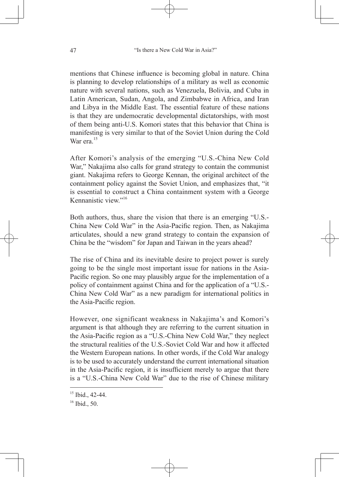mentions that Chinese influence is becoming global in nature. China is planning to develop relationships of a military as well as economic nature with several nations, such as Venezuela, Bolivia, and Cuba in Latin American, Sudan, Angola, and Zimbabwe in Africa, and Iran and Libya in the Middle East. The essential feature of these nations is that they are undemocratic developmental dictatorships, with most of them being anti-U.S. Komori states that this behavior that China is manifesting is very similar to that of the Soviet Union during the Cold War era $15$ 

After Komori's analysis of the emerging "U.S.-China New Cold War," Nakajima also calls for grand strategy to contain the communist giant. Nakajima refers to George Kennan, the original architect of the containment policy against the Soviet Union, and emphasizes that, "it is essential to construct a China containment system with a George Kennanistic view. $16$ 

Both authors, thus, share the vision that there is an emerging "U.S.- China New Cold War" in the Asia-Pacific region. Then, as Nakajima articulates, should a new grand strategy to contain the expansion of China be the "wisdom" for Japan and Taiwan in the years ahead?

The rise of China and its inevitable desire to project power is surely going to be the single most important issue for nations in the Asia-Pacific region. So one may plausibly argue for the implementation of a policy of containment against China and for the application of a "U.S.- China New Cold War" as a new paradigm for international politics in the Asia-Pacific region.

However, one significant weakness in Nakajima's and Komori's argument is that although they are referring to the current situation in the Asia-Pacific region as a "U.S.-China New Cold War," they neglect the structural realities of the U.S.-Soviet Cold War and how it affected the Western European nations. In other words, if the Cold War analogy is to be used to accurately understand the current international situation in the Asia-Pacific region, it is insufficient merely to argue that there is a "U.S.-China New Cold War" due to the rise of Chinese military

 $15$  Ibid., 42-44.

<sup>&</sup>lt;sup>16</sup> Ibid., 50.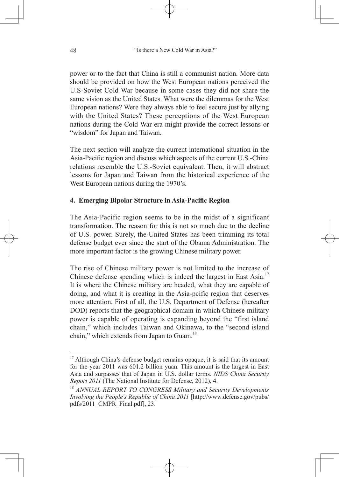power or to the fact that China is still a communist nation. More data should be provided on how the West European nations perceived the U.S-Soviet Cold War because in some cases they did not share the same vision as the United States. What were the dilemmas for the West European nations? Were they always able to feel secure just by allying with the United States? These perceptions of the West European nations during the Cold War era might provide the correct lessons or "wisdom" for Japan and Taiwan.

The next section will analyze the current international situation in the Asia-Pacific region and discuss which aspects of the current U.S.-China relations resemble the U.S.-Soviet equivalent. Then, it will abstract lessons for Japan and Taiwan from the historical experience of the West European nations during the 1970's.

## **4. Emerging Bipolar Structure in Asia-Pacific Region**

The Asia-Pacific region seems to be in the midst of a significant transformation. The reason for this is not so much due to the decline of U.S. power. Surely, the United States has been trimming its total defense budget ever since the start of the Obama Administration. The more important factor is the growing Chinese military power.

The rise of Chinese military power is not limited to the increase of Chinese defense spending which is indeed the largest in East Asia.<sup>17</sup> It is where the Chinese military are headed, what they are capable of doing, and what it is creating in the Asia-pcific region that deserves more attention. First of all, the U.S. Department of Defense (hereafter DOD) reports that the geographical domain in which Chinese military power is capable of operating is expanding beyond the "first island chain," which includes Taiwan and Okinawa, to the "second island chain," which extends from Japan to Guam.<sup>18</sup>

<sup>&</sup>lt;sup>17</sup> Although China's defense budget remains opaque, it is said that its amount for the year 2011 was 601.2 billion yuan. This amount is the largest in East Asia and surpasses that of Japan in U.S. dollar terms. *NIDS China Security Report 2011* (The National Institute for Defense, 2012), 4.

<sup>18</sup> *ANNUAL REPORT TO CONGRESS Military and Security Developments Involving the People's Republic of China 2011* [http://www.defense.gov/pubs/ pdfs/2011\_CMPR\_Final.pdf], 23.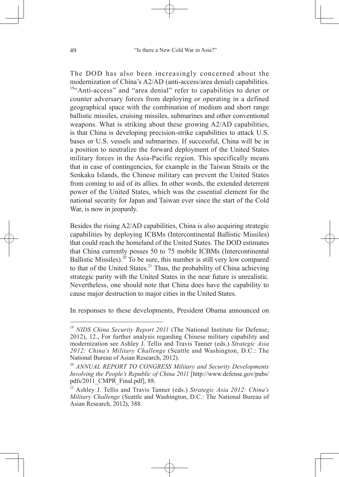The DOD has also been increasingly concerned about the modernization of China's A2/AD (anti-access/area denial) capabilities. <sup>19"</sup>Anti-access" and "area denial" refer to capabilities to deter or counter adversary forces from deploying or operating in a defined geographical space with the combination of medium and short range ballistic missiles, cruising missiles, submarines and other conventional weapons. What is striking about these growing A2/AD capabilities, is that China is developing precision-strike capabilities to attack U.S. bases or U.S. vessels and submarines. If successful, China will be in a position to neutralize the forward deployment of the United States military forces in the Asia-Pacific region. This specifically means that in case of contingencies, for example in the Taiwan Straits or the Senkaku Islands, the Chinese military can prevent the United States from coming to aid of its allies. In other words, the extended deterrent power of the United States, which was the essential element for the national security for Japan and Taiwan ever since the start of the Cold War, is now in jeopardy.

Besides the rising A2/AD capabilities, China is also acquiring strategic capabilities by deploying ICBMs (Intercontinental Ballistic Missiles) that could reach the homeland of the United States. The DOD estimates that China currently posses 50 to 75 mobile ICBMs (Intercontinental Ballistic Missiles).<sup>20</sup> To be sure, this number is still very low compared to that of the United States. $^{21}$  Thus, the probability of China achieving strategic parity with the United States in the near future is unrealistic. Nevertheless, one should note that China does have the capability to cause major destruction to major cities in the United States.

In responses to these developments, President Obama announced on

<sup>&</sup>lt;sup>19</sup> *NIDS China Security Report 2011* (The National Institute for Defense, 2012), 12., For further analysis regarding Chinese military capability and modernization see Ashley J. Tellis and Travis Tanner (eds.) *Strategic Asia 2012: China's Military Challenge* (Seattle and Washington, D.C.: The National Bureau of Asian Research, 2012).

<sup>20</sup> *ANNUAL REPORT TO CONGRESS Military and Security Developments Involving the People's Republic of China 2011* [http://www.defense.gov/pubs/ pdfs/2011\_CMPR\_Final.pdf], 88.

<sup>21</sup> Ashley J. Tellis and Travis Tanner (eds.) *Strategic Asia 2012: China's Military Challenge* (Seattle and Washington, D.C.: The National Bureau of Asian Research, 2012), 388.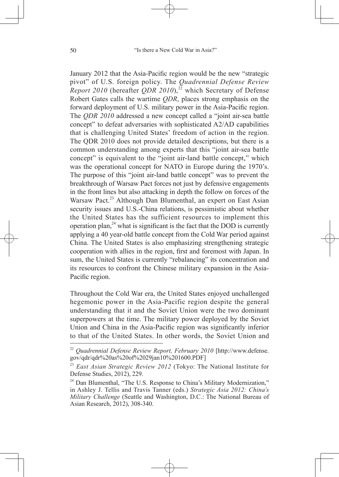January 2012 that the Asia-Pacific region would be the new "strategic pivot" of U.S. foreign policy. The *Quadrennial Defense Review Report 2010* (hereafter *QDR 2010*),<sup>22</sup> which Secretary of Defense Robert Gates calls the wartime *QDR*, places strong emphasis on the forward deployment of U.S. military power in the Asia-Pacific region. The *QDR 2010* addressed a new concept called a "joint air-sea battle concept" to defeat adversaries with sophisticated A2/AD capabilities that is challenging United States' freedom of action in the region. The QDR 2010 does not provide detailed descriptions, but there is a common understanding among experts that this "joint air-sea battle concept" is equivalent to the "joint air-land battle concept," which was the operational concept for NATO in Europe during the 1970's. The purpose of this "joint air-land battle concept" was to prevent the breakthrough of Warsaw Pact forces not just by defensive engagements in the front lines but also attacking in depth the follow on forces of the Warsaw Pact.<sup>23</sup> Although Dan Blumenthal, an expert on East Asian security issues and U.S.-China relations, is pessimistic about whether the United States has the sufficient resources to implement this operation plan, $^{24}$  what is significant is the fact that the DOD is currently applying a 40 year-old battle concept from the Cold War period against China. The United States is also emphasizing strengthening strategic cooperation with allies in the region, first and foremost with Japan. In sum, the United States is currently "rebalancing" its concentration and its resources to confront the Chinese military expansion in the Asia-Pacific region.

Throughout the Cold War era, the United States enjoyed unchallenged hegemonic power in the Asia-Pacific region despite the general understanding that it and the Soviet Union were the two dominant superpowers at the time. The military power deployed by the Soviet Union and China in the Asia-Pacific region was significantly inferior to that of the United States. In other words, the Soviet Union and

<sup>22</sup> *Quadrennial Defense Review Report, February 2010* [http://www.defense. gov/qdr/qdr%20as%20of%2029jan10%201600.PDF]

<sup>23</sup> *East Asian Strategic Review 2012* (Tokyo: The National Institute for Defense Studies, 2012), 229.

<sup>&</sup>lt;sup>24</sup> Dan Blumenthal, "The U.S. Response to China's Military Modernization," in Ashley J. Tellis and Travis Tanner (eds.) *Strategic Asia 2012: China's Military Challenge* (Seattle and Washington, D.C.: The National Bureau of Asian Research, 2012), 308-340.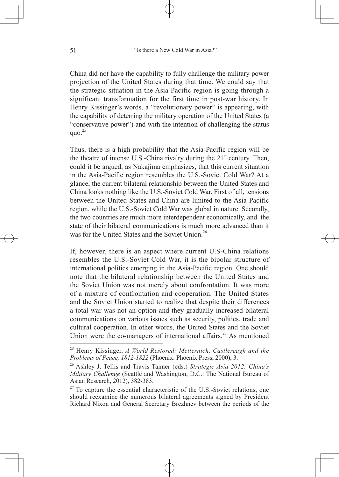China did not have the capability to fully challenge the military power projection of the United States during that time. We could say that the strategic situation in the Asia-Pacific region is going through a significant transformation for the first time in post-war history. In Henry Kissinger's words, a "revolutionary power" is appearing, with the capability of deterring the military operation of the United States (a "conservative power") and with the intention of challenging the status quo. $^{25}$ 

Thus, there is a high probability that the Asia-Pacific region will be the theatre of intense U.S.-China rivalry during the  $21<sup>st</sup>$  century. Then, could it be argued, as Nakajima emphasizes, that this current situation in the Asia-Pacific region resembles the U.S.-Soviet Cold War? At a glance, the current bilateral relationship between the United States and China looks nothing like the U.S.-Soviet Cold War. First of all, tensions between the United States and China are limited to the Asia-Pacific region, while the U.S.-Soviet Cold War was global in nature. Secondly, the two countries are much more interdependent economically, and the state of their bilateral communications is much more advanced than it was for the United States and the Soviet Union.<sup>26</sup>

If, however, there is an aspect where current U.S-China relations resembles the U.S.-Soviet Cold War, it is the bipolar structure of international politics emerging in the Asia-Pacific region. One should note that the bilateral relationship between the United States and the Soviet Union was not merely about confrontation. It was more of a mixture of confrontation and cooperation. The United States and the Soviet Union started to realize that despite their differences a total war was not an option and they gradually increased bilateral communications on various issues such as security, politics, trade and cultural cooperation. In other words, the United States and the Soviet Union were the co-managers of international affairs.<sup>27</sup> As mentioned

<sup>25</sup> Henry Kissinger, *A World Restored: Metternich, Castlereagh and the Problems of Peace, 1812-1822* (Phoenix: Phoenix Press, 2000), 3.

<sup>26</sup> Ashley J. Tellis and Travis Tanner (eds.) *Strategic Asia 2012: China's Military Challenge* (Seattle and Washington, D.C.: The National Bureau of Asian Research, 2012), 382-383.

 $27$  To capture the essential characteristic of the U.S.-Soviet relations, one should reexamine the numerous bilateral agreements signed by President Richard Nixon and General Secretary Brezhnev between the periods of the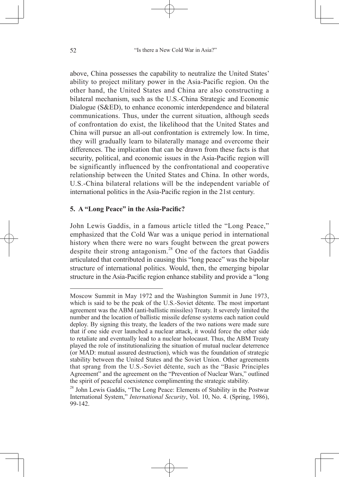above, China possesses the capability to neutralize the United States' ability to project military power in the Asia-Pacific region. On the other hand, the United States and China are also constructing a bilateral mechanism, such as the U.S.-China Strategic and Economic Dialogue (S&ED), to enhance economic interdependence and bilateral communications. Thus, under the current situation, although seeds of confrontation do exist, the likelihood that the United States and China will pursue an all-out confrontation is extremely low. In time, they will gradually learn to bilaterally manage and overcome their differences. The implication that can be drawn from these facts is that security, political, and economic issues in the Asia-Pacific region will be significantly influenced by the confrontational and cooperative relationship between the United States and China. In other words, U.S.-China bilateral relations will be the independent variable of international politics in the Asia-Pacific region in the 21st century.

#### **5. A "Long Peace" in the Asia-Pacific?**

John Lewis Gaddis, in a famous article titled the "Long Peace," emphasized that the Cold War was a unique period in international history when there were no wars fought between the great powers despite their strong antagonism.28 One of the factors that Gaddis articulated that contributed in causing this "long peace" was the bipolar structure of international politics. Would, then, the emerging bipolar structure in the Asia-Pacific region enhance stability and provide a "long

Moscow Summit in May 1972 and the Washington Summit in June 1973, which is said to be the peak of the U.S.-Soviet détente. The most important agreement was the ABM (anti-ballistic missiles) Treaty. It severely limited the number and the location of ballistic missile defense systems each nation could deploy. By signing this treaty, the leaders of the two nations were made sure that if one side ever launched a nuclear attack, it would force the other side to retaliate and eventually lead to a nuclear holocaust. Thus, the ABM Treaty played the role of institutionalizing the situation of mutual nuclear deterrence (or MAD: mutual assured destruction), which was the foundation of strategic stability between the United States and the Soviet Union. Other agreements that sprang from the U.S.-Soviet détente, such as the "Basic Principles Agreement" and the agreement on the "Prevention of Nuclear Wars," outlined the spirit of peaceful coexistence complimenting the strategic stability.

 $^{28}$  John Lewis Gaddis, "The Long Peace: Elements of Stability in the Postwar International System," *International Security*, Vol. 10, No. 4. (Spring, 1986), 99-142.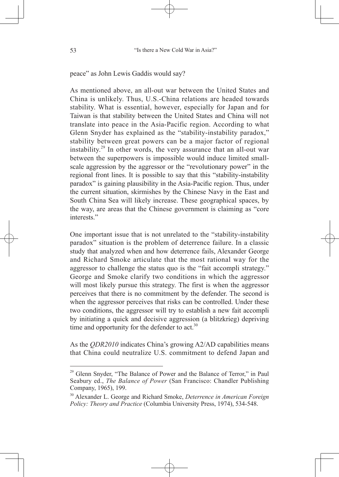peace" as John Lewis Gaddis would say?

As mentioned above, an all-out war between the United States and China is unlikely. Thus, U.S.-China relations are headed towards stability. What is essential, however, especially for Japan and for Taiwan is that stability between the United States and China will not translate into peace in the Asia-Pacific region. According to what Glenn Snyder has explained as the "stability-instability paradox," stability between great powers can be a major factor of regional instability.29 In other words, the very assurance that an all-out war between the superpowers is impossible would induce limited smallscale aggression by the aggressor or the "revolutionary power" in the regional front lines. It is possible to say that this "stability-instability paradox" is gaining plausibility in the Asia-Pacific region. Thus, under the current situation, skirmishes by the Chinese Navy in the East and South China Sea will likely increase. These geographical spaces, by the way, are areas that the Chinese government is claiming as "core interests<sup>"</sup>

One important issue that is not unrelated to the "stability-instability paradox" situation is the problem of deterrence failure. In a classic study that analyzed when and how deterrence fails, Alexander George and Richard Smoke articulate that the most rational way for the aggressor to challenge the status quo is the "fait accompli strategy." George and Smoke clarify two conditions in which the aggressor will most likely pursue this strategy. The first is when the aggressor perceives that there is no commitment by the defender. The second is when the aggressor perceives that risks can be controlled. Under these two conditions, the aggressor will try to establish a new fait accompli by initiating a quick and decisive aggression (a blitzkrieg) depriving time and opportunity for the defender to act. $30$ 

As the *QDR2010* indicates China's growing A2/AD capabilities means that China could neutralize U.S. commitment to defend Japan and

<sup>&</sup>lt;sup>29</sup> Glenn Snyder, "The Balance of Power and the Balance of Terror," in Paul Seabury ed., *The Balance of Power* (San Francisco: Chandler Publishing Company, 1965), 199.

<sup>30</sup> Alexander L. George and Richard Smoke, *Deterrence in American Foreign Policy: Theory and Practice* (Columbia University Press, 1974), 534-548.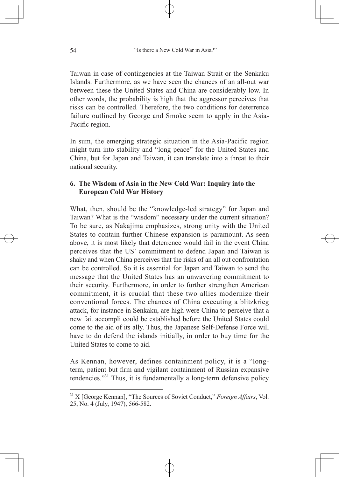Taiwan in case of contingencies at the Taiwan Strait or the Senkaku Islands. Furthermore, as we have seen the chances of an all-out war between these the United States and China are considerably low. In other words, the probability is high that the aggressor perceives that risks can be controlled. Therefore, the two conditions for deterrence failure outlined by George and Smoke seem to apply in the Asia-Pacific region.

In sum, the emerging strategic situation in the Asia-Pacific region might turn into stability and "long peace" for the United States and China, but for Japan and Taiwan, it can translate into a threat to their national security.

## **6. The Wisdom of Asia in the New Cold War: Inquiry into the European Cold War History**

What, then, should be the "knowledge-led strategy" for Japan and Taiwan? What is the "wisdom" necessary under the current situation? To be sure, as Nakajima emphasizes, strong unity with the United States to contain further Chinese expansion is paramount. As seen above, it is most likely that deterrence would fail in the event China perceives that the US' commitment to defend Japan and Taiwan is shaky and when China perceives that the risks of an all out confrontation can be controlled. So it is essential for Japan and Taiwan to send the message that the United States has an unwavering commitment to their security. Furthermore, in order to further strengthen American commitment, it is crucial that these two allies modernize their conventional forces. The chances of China executing a blitzkrieg attack, for instance in Senkaku, are high were China to perceive that a new fait accompli could be established before the United States could come to the aid of its ally. Thus, the Japanese Self-Defense Force will have to do defend the islands initially, in order to buy time for the United States to come to aid.

As Kennan, however, defines containment policy, it is a "longterm, patient but firm and vigilant containment of Russian expansive tendencies."31 Thus, it is fundamentally a long-term defensive policy

<sup>31</sup> X [George Kennan], "The Sources of Soviet Conduct," *Foreign Affairs*, Vol. 25, No. 4 (July, 1947), 566-582.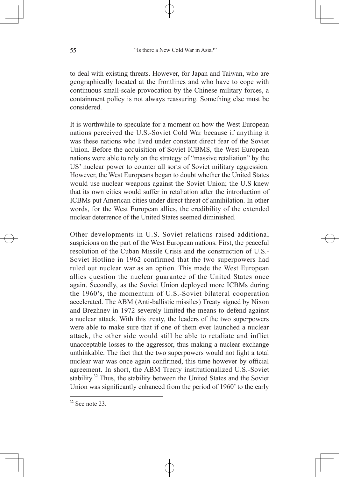to deal with existing threats. However, for Japan and Taiwan, who are geographically located at the frontlines and who have to cope with continuous small-scale provocation by the Chinese military forces, a containment policy is not always reassuring. Something else must be considered.

It is worthwhile to speculate for a moment on how the West European nations perceived the U.S.-Soviet Cold War because if anything it was these nations who lived under constant direct fear of the Soviet Union. Before the acquisition of Soviet ICBMS, the West European nations were able to rely on the strategy of "massive retaliation" by the US' nuclear power to counter all sorts of Soviet military aggression. However, the West Europeans began to doubt whether the United States would use nuclear weapons against the Soviet Union; the U.S knew that its own cities would suffer in retaliation after the introduction of ICBMs put American cities under direct threat of annihilation. In other words, for the West European allies, the credibility of the extended nuclear deterrence of the United States seemed diminished.

Other developments in U.S.-Soviet relations raised additional suspicions on the part of the West European nations. First, the peaceful resolution of the Cuban Missile Crisis and the construction of U.S.- Soviet Hotline in 1962 confirmed that the two superpowers had ruled out nuclear war as an option. This made the West European allies question the nuclear guarantee of the United States once again. Secondly, as the Soviet Union deployed more ICBMs during the 1960's, the momentum of U.S.-Soviet bilateral cooperation accelerated. The ABM (Anti-ballistic missiles) Treaty signed by Nixon and Brezhnev in 1972 severely limited the means to defend against a nuclear attack. With this treaty, the leaders of the two superpowers were able to make sure that if one of them ever launched a nuclear attack, the other side would still be able to retaliate and inflict unacceptable losses to the aggressor, thus making a nuclear exchange unthinkable. The fact that the two superpowers would not fight a total nuclear war was once again confirmed, this time however by official agreement. In short, the ABM Treaty institutionalized U.S.-Soviet stability.32 Thus, the stability between the United States and the Soviet Union was significantly enhanced from the period of 1960' to the early

 $32$  See note 23.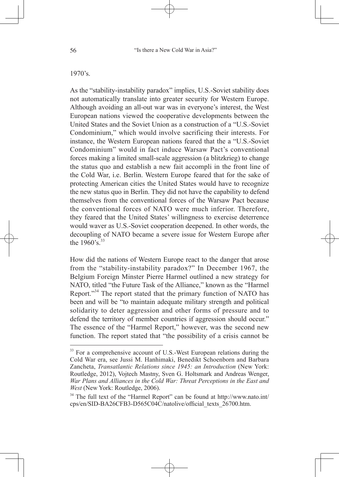#### 1970's.

As the "stability-instability paradox" implies, U.S.-Soviet stability does not automatically translate into greater security for Western Europe. Although avoiding an all-out war was in everyone's interest, the West European nations viewed the cooperative developments between the United States and the Soviet Union as a construction of a "U.S.-Soviet Condominium," which would involve sacrificing their interests. For instance, the Western European nations feared that the a "U.S.-Soviet Condominium" would in fact induce Warsaw Pact's conventional forces making a limited small-scale aggression (a blitzkrieg) to change the status quo and establish a new fait accompli in the front line of the Cold War, i.e. Berlin. Western Europe feared that for the sake of protecting American cities the United States would have to recognize the new status quo in Berlin. They did not have the capability to defend themselves from the conventional forces of the Warsaw Pact because the conventional forces of NATO were much inferior. Therefore, they feared that the United States' willingness to exercise deterrence would waver as U.S.-Soviet cooperation deepened. In other words, the decoupling of NATO became a severe issue for Western Europe after the  $1960's$ <sup>33</sup>

How did the nations of Western Europe react to the danger that arose from the "stability-instability paradox?" In December 1967, the Belgium Foreign Minster Pierre Harmel outlined a new strategy for NATO, titled "the Future Task of the Alliance," known as the "Harmel Report."<sup>34</sup> The report stated that the primary function of NATO has been and will be "to maintain adequate military strength and political solidarity to deter aggression and other forms of pressure and to defend the territory of member countries if aggression should occur." The essence of the "Harmel Report," however, was the second new function. The report stated that "the possibility of a crisis cannot be

 $33$  For a comprehensive account of U.S.-West European relations during the Cold War era, see Jussi M. Hanhimaki, Benedikt Schoenborn and Barbara Zancheta, *Transatlantic Relations since 1945: an Introduction* (New York: Routledge, 2012), Vojtech Mastny, Sven G. Holtsmark and Andreas Wenger, *War Plans and Alliances in the Cold War: Threat Perceptions in the East and West* (New York: Routledge, 2006).

<sup>&</sup>lt;sup>34</sup> The full text of the "Harmel Report" can be found at http://www.nato.int/ cps/en/SID-BA26CFB3-D565C04C/natolive/official\_texts\_26700.htm.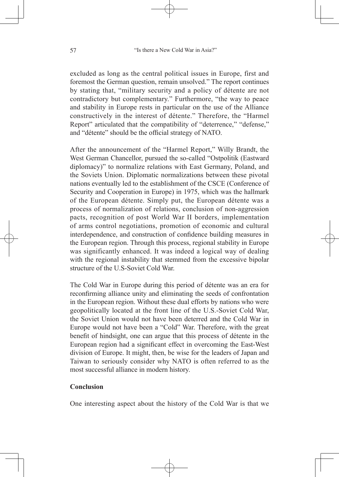excluded as long as the central political issues in Europe, first and foremost the German question, remain unsolved." The report continues by stating that, "military security and a policy of détente are not contradictory but complementary." Furthermore, "the way to peace and stability in Europe rests in particular on the use of the Alliance constructively in the interest of détente." Therefore, the "Harmel Report" articulated that the compatibility of "deterrence," "defense," and "détente" should be the official strategy of NATO.

After the announcement of the "Harmel Report," Willy Brandt, the West German Chancellor, pursued the so-called "Ostpolitik (Eastward diplomacy)" to normalize relations with East Germany, Poland, and the Soviets Union. Diplomatic normalizations between these pivotal nations eventually led to the establishment of the CSCE (Conference of Security and Cooperation in Europe) in 1975, which was the hallmark of the European détente. Simply put, the European détente was a process of normalization of relations, conclusion of non-aggression pacts, recognition of post World War II borders, implementation of arms control negotiations, promotion of economic and cultural interdependence, and construction of confidence building measures in the European region. Through this process, regional stability in Europe was significantly enhanced. It was indeed a logical way of dealing with the regional instability that stemmed from the excessive bipolar structure of the U.S-Soviet Cold War.

The Cold War in Europe during this period of détente was an era for reconfirming alliance unity and eliminating the seeds of confrontation in the European region. Without these dual efforts by nations who were geopolitically located at the front line of the U.S.-Soviet Cold War, the Soviet Union would not have been deterred and the Cold War in Europe would not have been a "Cold" War. Therefore, with the great benefit of hindsight, one can argue that this process of détente in the European region had a significant effect in overcoming the East-West division of Europe. It might, then, be wise for the leaders of Japan and Taiwan to seriously consider why NATO is often referred to as the most successful alliance in modern history.

## **Conclusion**

One interesting aspect about the history of the Cold War is that we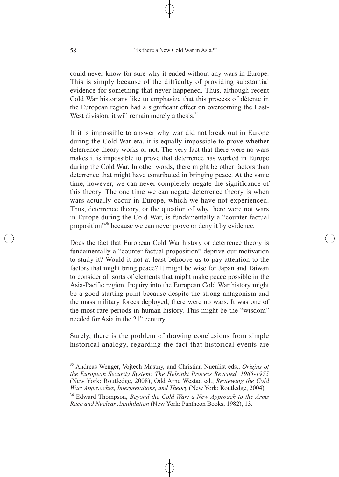could never know for sure why it ended without any wars in Europe. This is simply because of the difficulty of providing substantial evidence for something that never happened. Thus, although recent Cold War historians like to emphasize that this process of détente in the European region had a significant effect on overcoming the East-West division, it will remain merely a thesis.<sup>35</sup>

If it is impossible to answer why war did not break out in Europe during the Cold War era, it is equally impossible to prove whether deterrence theory works or not. The very fact that there were no wars makes it is impossible to prove that deterrence has worked in Europe during the Cold War. In other words, there might be other factors than deterrence that might have contributed in bringing peace. At the same time, however, we can never completely negate the significance of this theory. The one time we can negate deterrence theory is when wars actually occur in Europe, which we have not experienced. Thus, deterrence theory, or the question of why there were not wars in Europe during the Cold War, is fundamentally a "counter-factual proposition"36 because we can never prove or deny it by evidence.

Does the fact that European Cold War history or deterrence theory is fundamentally a "counter-factual proposition" deprive our motivation to study it? Would it not at least behoove us to pay attention to the factors that might bring peace? It might be wise for Japan and Taiwan to consider all sorts of elements that might make peace possible in the Asia-Pacific region. Inquiry into the European Cold War history might be a good starting point because despite the strong antagonism and the mass military forces deployed, there were no wars. It was one of the most rare periods in human history. This might be the "wisdom" needed for Asia in the  $21<sup>st</sup>$  century.

Surely, there is the problem of drawing conclusions from simple historical analogy, regarding the fact that historical events are

<sup>35</sup> Andreas Wenger, Vojtech Mastny, and Christian Nuenlist eds., *Origins of the European Security System: The Helsinki Process Revisted, 1965-1975* (New York: Routledge, 2008), Odd Arne Westad ed., *Reviewing the Cold War: Approaches, Interpretations, and Theory* (New York: Routledge, 2004).

<sup>36</sup> Edward Thompson, *Beyond the Cold War: a New Approach to the Arms Race and Nuclear Annihilation* (New York: Pantheon Books, 1982), 13.